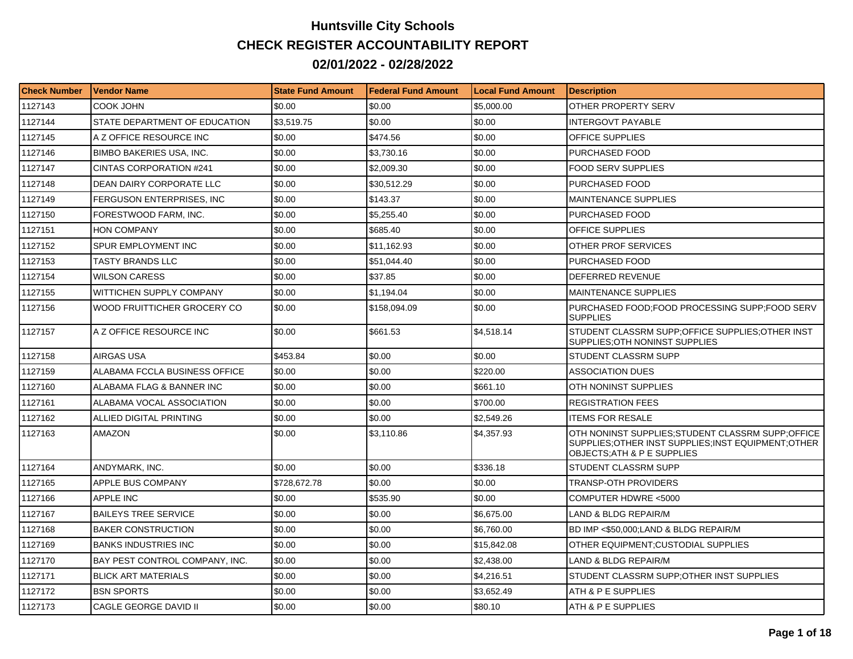## **Huntsville City Schools CHECK REGISTER ACCOUNTABILITY REPORT 02/01/2022 - 02/28/2022**

| <b>Check Number</b> | Vendor Name                     | <b>State Fund Amount</b> | l Federal Fund Amount | <b>Local Fund Amount</b> | <b>Description</b>                                                                                                                        |
|---------------------|---------------------------------|--------------------------|-----------------------|--------------------------|-------------------------------------------------------------------------------------------------------------------------------------------|
| 1127143             | COOK JOHN                       | \$0.00                   | \$0.00                | \$5,000.00               | OTHER PROPERTY SERV                                                                                                                       |
| 1127144             | STATE DEPARTMENT OF EDUCATION   | \$3,519.75               | \$0.00                | \$0.00                   | <b>INTERGOVT PAYABLE</b>                                                                                                                  |
| 1127145             | A Z OFFICE RESOURCE INC         | \$0.00                   | \$474.56              | \$0.00                   | <b>OFFICE SUPPLIES</b>                                                                                                                    |
| 1127146             | <b>BIMBO BAKERIES USA, INC.</b> | \$0.00                   | \$3,730.16            | \$0.00                   | PURCHASED FOOD                                                                                                                            |
| 1127147             | <b>CINTAS CORPORATION #241</b>  | \$0.00                   | \$2,009.30            | \$0.00                   | FOOD SERV SUPPLIES                                                                                                                        |
| 1127148             | DEAN DAIRY CORPORATE LLC        | \$0.00                   | \$30,512.29           | \$0.00                   | PURCHASED FOOD                                                                                                                            |
| 1127149             | FERGUSON ENTERPRISES, INC       | \$0.00                   | \$143.37              | \$0.00                   | <b>MAINTENANCE SUPPLIES</b>                                                                                                               |
| 1127150             | FORESTWOOD FARM, INC.           | \$0.00                   | \$5.255.40            | \$0.00                   | PURCHASED FOOD                                                                                                                            |
| 1127151             | <b>HON COMPANY</b>              | \$0.00                   | \$685.40              | \$0.00                   | <b>OFFICE SUPPLIES</b>                                                                                                                    |
| 1127152             | SPUR EMPLOYMENT INC             | \$0.00                   | \$11.162.93           | \$0.00                   | OTHER PROF SERVICES                                                                                                                       |
| 1127153             | <b>TASTY BRANDS LLC</b>         | \$0.00                   | \$51,044.40           | \$0.00                   | PURCHASED FOOD                                                                                                                            |
| 1127154             | WILSON CARESS                   | \$0.00                   | \$37.85               | \$0.00                   | DEFERRED REVENUE                                                                                                                          |
| 1127155             | <b>WITTICHEN SUPPLY COMPANY</b> | \$0.00                   | \$1.194.04            | \$0.00                   | <b>MAINTENANCE SUPPLIES</b>                                                                                                               |
| 1127156             | WOOD FRUITTICHER GROCERY CO     | \$0.00                   | \$158,094.09          | \$0.00                   | PURCHASED FOOD; FOOD PROCESSING SUPP; FOOD SERV<br><b>SUPPLIES</b>                                                                        |
| 1127157             | A Z OFFICE RESOURCE INC         | \$0.00                   | \$661.53              | \$4,518.14               | STUDENT CLASSRM SUPP; OFFICE SUPPLIES; OTHER INST<br>SUPPLIES: OTH NONINST SUPPLIES                                                       |
| 1127158             | AIRGAS USA                      | \$453.84                 | \$0.00                | \$0.00                   | STUDENT CLASSRM SUPP                                                                                                                      |
| 1127159             | ALABAMA FCCLA BUSINESS OFFICE   | \$0.00                   | \$0.00                | \$220.00                 | <b>ASSOCIATION DUES</b>                                                                                                                   |
| 1127160             | ALABAMA FLAG & BANNER INC       | \$0.00                   | \$0.00                | \$661.10                 | OTH NONINST SUPPLIES                                                                                                                      |
| 1127161             | ALABAMA VOCAL ASSOCIATION       | \$0.00                   | \$0.00                | \$700.00                 | <b>REGISTRATION FEES</b>                                                                                                                  |
| 1127162             | ALLIED DIGITAL PRINTING         | \$0.00                   | \$0.00                | \$2,549.26               | <b>ITEMS FOR RESALE</b>                                                                                                                   |
| 1127163             | AMAZON                          | \$0.00                   | \$3,110.86            | \$4,357.93               | OTH NONINST SUPPLIES; STUDENT CLASSRM SUPP; OFFICE<br>SUPPLIES; OTHER INST SUPPLIES; INST EQUIPMENT; OTHER<br>OBJECTS: ATH & P E SUPPLIES |
| 1127164             | ANDYMARK, INC.                  | \$0.00                   | \$0.00                | \$336.18                 | STUDENT CLASSRM SUPP                                                                                                                      |
| 1127165             | APPLE BUS COMPANY               | \$728,672.78             | \$0.00                | \$0.00                   | TRANSP-OTH PROVIDERS                                                                                                                      |
| 1127166             | APPLE INC                       | \$0.00                   | \$535.90              | \$0.00                   | COMPUTER HDWRE <5000                                                                                                                      |
| 1127167             | <b>BAILEYS TREE SERVICE</b>     | \$0.00                   | \$0.00                | \$6,675.00               | LAND & BLDG REPAIR/M                                                                                                                      |
| 1127168             | <b>BAKER CONSTRUCTION</b>       | \$0.00                   | \$0.00                | \$6,760.00               | BD IMP <\$50,000;LAND & BLDG REPAIR/M                                                                                                     |
| 1127169             | <b>BANKS INDUSTRIES INC</b>     | \$0.00                   | \$0.00                | \$15,842.08              | OTHER EQUIPMENT;CUSTODIAL SUPPLIES                                                                                                        |
| 1127170             | BAY PEST CONTROL COMPANY, INC.  | \$0.00                   | \$0.00                | \$2,438.00               | LAND & BLDG REPAIR/M                                                                                                                      |
| 1127171             | <b>BLICK ART MATERIALS</b>      | \$0.00                   | \$0.00                | \$4,216.51               | STUDENT CLASSRM SUPP;OTHER INST SUPPLIES                                                                                                  |
| 1127172             | <b>BSN SPORTS</b>               | \$0.00                   | \$0.00                | \$3,652.49               | ATH & P E SUPPLIES                                                                                                                        |
| 1127173             | CAGLE GEORGE DAVID II           | \$0.00                   | \$0.00                | \$80.10                  | ATH & P E SUPPLIES                                                                                                                        |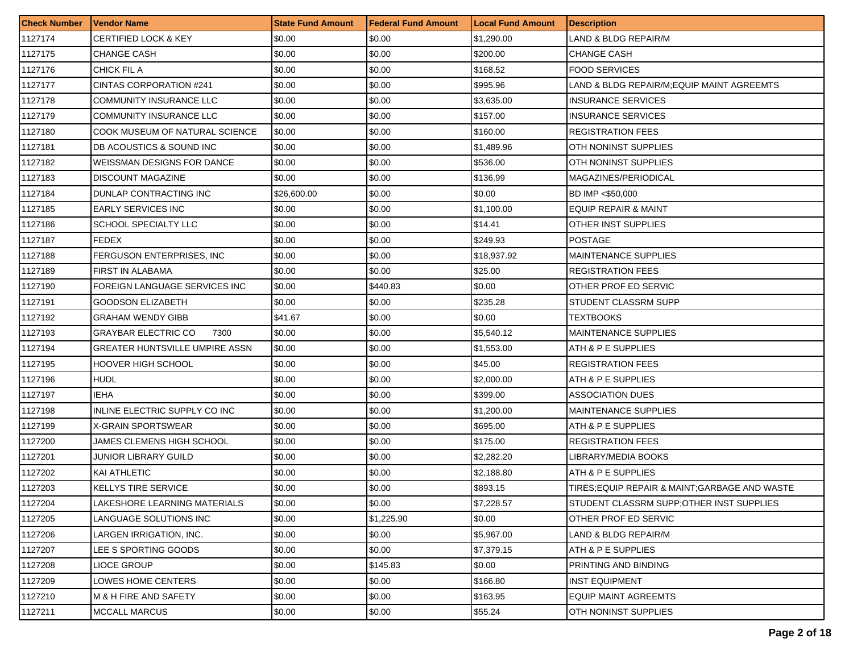| <b>Check Number</b> | <b>Vendor Name</b>                    | <b>State Fund Amount</b> | <b>Federal Fund Amount</b> | <b>Local Fund Amount</b> | <b>Description</b>                             |
|---------------------|---------------------------------------|--------------------------|----------------------------|--------------------------|------------------------------------------------|
| 1127174             | <b>CERTIFIED LOCK &amp; KEY</b>       | \$0.00                   | \$0.00                     | \$1,290.00               | LAND & BLDG REPAIR/M                           |
| 1127175             | CHANGE CASH                           | \$0.00                   | \$0.00                     | \$200.00                 | <b>CHANGE CASH</b>                             |
| 1127176             | CHICK FIL A                           | \$0.00                   | \$0.00                     | \$168.52                 | <b>FOOD SERVICES</b>                           |
| 1127177             | <b>CINTAS CORPORATION #241</b>        | \$0.00                   | \$0.00                     | \$995.96                 | LAND & BLDG REPAIR/M;EQUIP MAINT AGREEMTS      |
| 1127178             | COMMUNITY INSURANCE LLC               | \$0.00                   | \$0.00                     | \$3,635.00               | <b>INSURANCE SERVICES</b>                      |
| 1127179             | COMMUNITY INSURANCE LLC               | \$0.00                   | \$0.00                     | \$157.00                 | <b>INSURANCE SERVICES</b>                      |
| 1127180             | COOK MUSEUM OF NATURAL SCIENCE        | \$0.00                   | \$0.00                     | \$160.00                 | <b>REGISTRATION FEES</b>                       |
| 1127181             | DB ACOUSTICS & SOUND INC              | \$0.00                   | \$0.00                     | \$1,489.96               | OTH NONINST SUPPLIES                           |
| 1127182             | WEISSMAN DESIGNS FOR DANCE            | \$0.00                   | \$0.00                     | \$536.00                 | OTH NONINST SUPPLIES                           |
| 1127183             | <b>DISCOUNT MAGAZINE</b>              | \$0.00                   | \$0.00                     | \$136.99                 | MAGAZINES/PERIODICAL                           |
| 1127184             | DUNLAP CONTRACTING INC                | \$26,600.00              | \$0.00                     | \$0.00                   | BD IMP <\$50,000                               |
| 1127185             | <b>EARLY SERVICES INC</b>             | \$0.00                   | \$0.00                     | \$1,100.00               | EQUIP REPAIR & MAINT                           |
| 1127186             | SCHOOL SPECIALTY LLC                  | \$0.00                   | \$0.00                     | \$14.41                  | OTHER INST SUPPLIES                            |
| 1127187             | <b>FEDEX</b>                          | \$0.00                   | \$0.00                     | \$249.93                 | <b>POSTAGE</b>                                 |
| 1127188             | FERGUSON ENTERPRISES, INC             | \$0.00                   | \$0.00                     | \$18,937.92              | <b>MAINTENANCE SUPPLIES</b>                    |
| 1127189             | FIRST IN ALABAMA                      | \$0.00                   | \$0.00                     | \$25.00                  | <b>REGISTRATION FEES</b>                       |
| 1127190             | FOREIGN LANGUAGE SERVICES INC         | \$0.00                   | \$440.83                   | \$0.00                   | OTHER PROF ED SERVIC                           |
| 1127191             | <b>GOODSON ELIZABETH</b>              | \$0.00                   | \$0.00                     | \$235.28                 | STUDENT CLASSRM SUPP                           |
| 1127192             | <b>GRAHAM WENDY GIBB</b>              | \$41.67                  | \$0.00                     | \$0.00                   | TEXTBOOKS                                      |
| 1127193             | <b>GRAYBAR ELECTRIC CO</b><br>7300    | \$0.00                   | \$0.00                     | \$5,540.12               | <b>MAINTENANCE SUPPLIES</b>                    |
| 1127194             | <b>GREATER HUNTSVILLE UMPIRE ASSN</b> | \$0.00                   | \$0.00                     | \$1,553.00               | ATH & P E SUPPLIES                             |
| 1127195             | <b>HOOVER HIGH SCHOOL</b>             | \$0.00                   | \$0.00                     | \$45.00                  | <b>REGISTRATION FEES</b>                       |
| 1127196             | <b>HUDL</b>                           | \$0.00                   | \$0.00                     | \$2,000.00               | ATH & P E SUPPLIES                             |
| 1127197             | <b>IEHA</b>                           | \$0.00                   | \$0.00                     | \$399.00                 | ASSOCIATION DUES                               |
| 1127198             | INLINE ELECTRIC SUPPLY CO INC         | \$0.00                   | \$0.00                     | \$1,200.00               | <b>MAINTENANCE SUPPLIES</b>                    |
| 1127199             | X-GRAIN SPORTSWEAR                    | \$0.00                   | \$0.00                     | \$695.00                 | ATH & P E SUPPLIES                             |
| 1127200             | JAMES CLEMENS HIGH SCHOOL             | \$0.00                   | \$0.00                     | \$175.00                 | REGISTRATION FEES                              |
| 1127201             | JUNIOR LIBRARY GUILD                  | \$0.00                   | \$0.00                     | \$2,282.20               | LIBRARY/MEDIA BOOKS                            |
| 1127202             | KAI ATHLETIC                          | \$0.00                   | \$0.00                     | \$2,188.80               | ATH & P E SUPPLIES                             |
| 1127203             | <b>KELLYS TIRE SERVICE</b>            | \$0.00                   | \$0.00                     | \$893.15                 | TIRES; EQUIP REPAIR & MAINT; GARBAGE AND WASTE |
| 1127204             | LAKESHORE LEARNING MATERIALS          | \$0.00                   | \$0.00                     | \$7,228.57               | STUDENT CLASSRM SUPP;OTHER INST SUPPLIES       |
| 1127205             | LANGUAGE SOLUTIONS INC                | \$0.00                   | \$1,225.90                 | \$0.00                   | OTHER PROF ED SERVIC                           |
| 1127206             | LARGEN IRRIGATION, INC.               | \$0.00                   | \$0.00                     | \$5,967.00               | LAND & BLDG REPAIR/M                           |
| 1127207             | LEE S SPORTING GOODS                  | \$0.00                   | \$0.00                     | \$7,379.15               | ATH & P E SUPPLIES                             |
| 1127208             | LIOCE GROUP                           | \$0.00                   | \$145.83                   | \$0.00                   | PRINTING AND BINDING                           |
| 1127209             | LOWES HOME CENTERS                    | \$0.00                   | \$0.00                     | \$166.80                 | <b>INST EQUIPMENT</b>                          |
| 1127210             | M & H FIRE AND SAFETY                 | \$0.00                   | \$0.00                     | \$163.95                 | <b>EQUIP MAINT AGREEMTS</b>                    |
| 1127211             | <b>MCCALL MARCUS</b>                  | \$0.00                   | \$0.00                     | \$55.24                  | OTH NONINST SUPPLIES                           |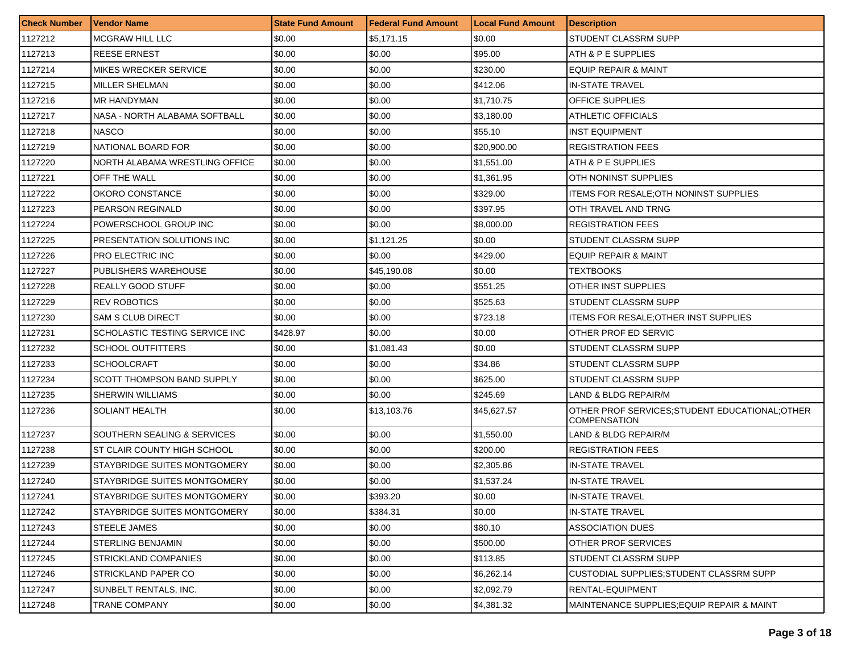| <b>Check Number</b> | <b>Vendor Name</b>                | <b>State Fund Amount</b> | Federal Fund Amount | <b>Local Fund Amount</b> | <i><b>Description</b></i>                                              |
|---------------------|-----------------------------------|--------------------------|---------------------|--------------------------|------------------------------------------------------------------------|
| 1127212             | <b>MCGRAW HILL LLC</b>            | \$0.00                   | \$5,171.15          | \$0.00                   | STUDENT CLASSRM SUPP                                                   |
| 1127213             | <b>REESE ERNEST</b>               | \$0.00                   | \$0.00              | \$95.00                  | ATH & P E SUPPLIES                                                     |
| 1127214             | MIKES WRECKER SERVICE             | \$0.00                   | \$0.00              | \$230.00                 | EQUIP REPAIR & MAINT                                                   |
| 1127215             | MILLER SHELMAN                    | \$0.00                   | \$0.00              | \$412.06                 | <b>IN-STATE TRAVEL</b>                                                 |
| 1127216             | <b>MR HANDYMAN</b>                | \$0.00                   | \$0.00              | \$1,710.75               | <b>OFFICE SUPPLIES</b>                                                 |
| 1127217             | NASA - NORTH ALABAMA SOFTBALL     | \$0.00                   | \$0.00              | \$3,180.00               | <b>ATHLETIC OFFICIALS</b>                                              |
| 1127218             | <b>NASCO</b>                      | \$0.00                   | \$0.00              | \$55.10                  | <b>INST EQUIPMENT</b>                                                  |
| 1127219             | NATIONAL BOARD FOR                | \$0.00                   | \$0.00              | \$20,900.00              | <b>REGISTRATION FEES</b>                                               |
| 1127220             | NORTH ALABAMA WRESTLING OFFICE    | \$0.00                   | \$0.00              | \$1,551.00               | ATH & P E SUPPLIES                                                     |
| 1127221             | OFF THE WALL                      | \$0.00                   | \$0.00              | \$1,361.95               | OTH NONINST SUPPLIES                                                   |
| 1127222             | OKORO CONSTANCE                   | \$0.00                   | \$0.00              | \$329.00                 | <b>ITEMS FOR RESALE; OTH NONINST SUPPLIES</b>                          |
| 1127223             | <b>PEARSON REGINALD</b>           | \$0.00                   | \$0.00              | \$397.95                 | OTH TRAVEL AND TRNG                                                    |
| 1127224             | POWERSCHOOL GROUP INC             | \$0.00                   | \$0.00              | \$8,000.00               | <b>REGISTRATION FEES</b>                                               |
| 1127225             | PRESENTATION SOLUTIONS INC        | \$0.00                   | \$1,121.25          | \$0.00                   | STUDENT CLASSRM SUPP                                                   |
| 1127226             | PRO ELECTRIC INC.                 | \$0.00                   | \$0.00              | \$429.00                 | EQUIP REPAIR & MAINT                                                   |
| 1127227             | PUBLISHERS WAREHOUSE              | \$0.00                   | \$45,190.08         | \$0.00                   | TEXTBOOKS                                                              |
| 1127228             | <b>REALLY GOOD STUFF</b>          | \$0.00                   | \$0.00              | \$551.25                 | OTHER INST SUPPLIES                                                    |
| 1127229             | <b>REV ROBOTICS</b>               | \$0.00                   | \$0.00              | \$525.63                 | STUDENT CLASSRM SUPP                                                   |
| 1127230             | <b>SAM S CLUB DIRECT</b>          | \$0.00                   | \$0.00              | \$723.18                 | <b>ITEMS FOR RESALE; OTHER INST SUPPLIES</b>                           |
| 1127231             | SCHOLASTIC TESTING SERVICE INC    | \$428.97                 | \$0.00              | \$0.00                   | OTHER PROF ED SERVIC                                                   |
| 1127232             | <b>SCHOOL OUTFITTERS</b>          | \$0.00                   | \$1,081.43          | \$0.00                   | STUDENT CLASSRM SUPP                                                   |
| 1127233             | <b>SCHOOLCRAFT</b>                | \$0.00                   | \$0.00              | \$34.86                  | STUDENT CLASSRM SUPP                                                   |
| 1127234             | <b>SCOTT THOMPSON BAND SUPPLY</b> | \$0.00                   | \$0.00              | \$625.00                 | STUDENT CLASSRM SUPP                                                   |
| 1127235             | <b>SHERWIN WILLIAMS</b>           | \$0.00                   | \$0.00              | \$245.69                 | LAND & BLDG REPAIR/M                                                   |
| 1127236             | SOLIANT HEALTH                    | \$0.00                   | \$13,103.76         | \$45,627.57              | OTHER PROF SERVICES; STUDENT EDUCATIONAL; OTHER<br><b>COMPENSATION</b> |
| 1127237             | SOUTHERN SEALING & SERVICES       | \$0.00                   | \$0.00              | \$1,550.00               | LAND & BLDG REPAIR/M                                                   |
| 1127238             | ST CLAIR COUNTY HIGH SCHOOL       | \$0.00                   | \$0.00              | \$200.00                 | <b>REGISTRATION FEES</b>                                               |
| 1127239             | STAYBRIDGE SUITES MONTGOMERY      | \$0.00                   | \$0.00              | \$2,305.86               | <b>IN-STATE TRAVEL</b>                                                 |
| 1127240             | STAYBRIDGE SUITES MONTGOMERY      | \$0.00                   | \$0.00              | \$1,537.24               | <b>IN-STATE TRAVEL</b>                                                 |
| 1127241             | STAYBRIDGE SUITES MONTGOMERY      | \$0.00                   | \$393.20            | \$0.00                   | <b>IN-STATE TRAVEL</b>                                                 |
| 1127242             | STAYBRIDGE SUITES MONTGOMERY      | \$0.00                   | \$384.31            | \$0.00                   | <b>IN-STATE TRAVEL</b>                                                 |
| 1127243             | <b>STEELE JAMES</b>               | \$0.00                   | \$0.00              | \$80.10                  | <b>ASSOCIATION DUES</b>                                                |
| 1127244             | <b>STERLING BENJAMIN</b>          | \$0.00                   | \$0.00              | \$500.00                 | <b>OTHER PROF SERVICES</b>                                             |
| 1127245             | <b>STRICKLAND COMPANIES</b>       | \$0.00                   | \$0.00              | \$113.85                 | STUDENT CLASSRM SUPP                                                   |
| 1127246             | STRICKLAND PAPER CO               | \$0.00                   | \$0.00              | \$6,262.14               | <b>CUSTODIAL SUPPLIES: STUDENT CLASSRM SUPP</b>                        |
| 1127247             | SUNBELT RENTALS, INC.             | \$0.00                   | \$0.00              | \$2,092.79               | RENTAL-EQUIPMENT                                                       |
| 1127248             | TRANE COMPANY                     | \$0.00                   | \$0.00              | \$4,381.32               | MAINTENANCE SUPPLIES:EQUIP REPAIR & MAINT                              |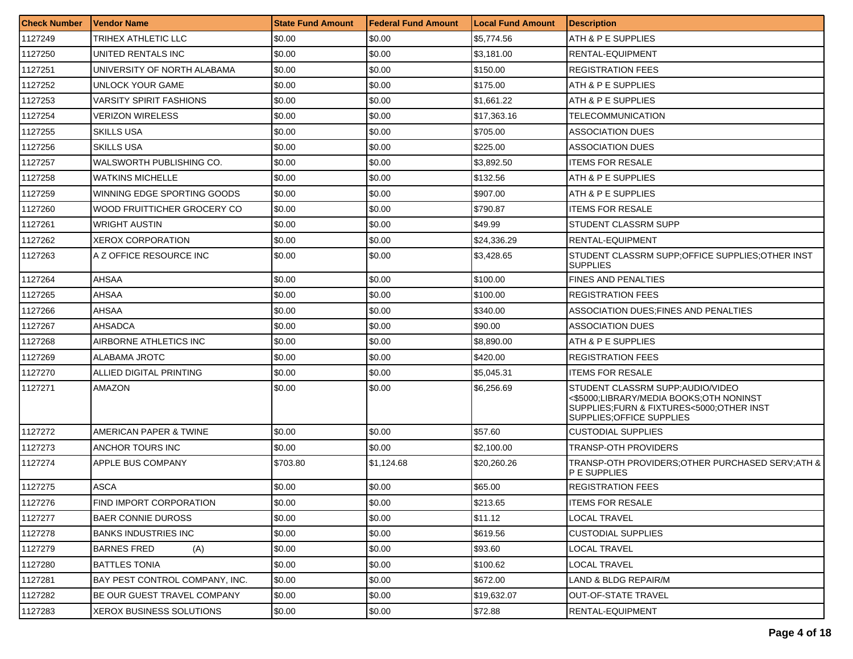| <b>Check Number</b> | <b>Vendor Name</b>             | <b>State Fund Amount</b> | Federal Fund Amount | <b>Local Fund Amount</b> | <b>Description</b>                                                                                                                                    |
|---------------------|--------------------------------|--------------------------|---------------------|--------------------------|-------------------------------------------------------------------------------------------------------------------------------------------------------|
| 1127249             | TRIHEX ATHLETIC LLC            | \$0.00                   | \$0.00              | \$5,774.56               | ATH & P E SUPPLIES                                                                                                                                    |
| 1127250             | UNITED RENTALS INC             | \$0.00                   | \$0.00              | \$3,181.00               | RENTAL-EQUIPMENT                                                                                                                                      |
| 1127251             | UNIVERSITY OF NORTH ALABAMA    | \$0.00                   | \$0.00              | \$150.00                 | <b>REGISTRATION FEES</b>                                                                                                                              |
| 1127252             | UNLOCK YOUR GAME               | \$0.00                   | \$0.00              | \$175.00                 | ATH & P E SUPPLIES                                                                                                                                    |
| 1127253             | VARSITY SPIRIT FASHIONS        | \$0.00                   | \$0.00              | \$1,661.22               | ATH & P E SUPPLIES                                                                                                                                    |
| 1127254             | <b>VERIZON WIRELESS</b>        | \$0.00                   | \$0.00              | \$17,363.16              | TELECOMMUNICATION                                                                                                                                     |
| 1127255             | <b>SKILLS USA</b>              | \$0.00                   | \$0.00              | \$705.00                 | ASSOCIATION DUES                                                                                                                                      |
| 1127256             | <b>SKILLS USA</b>              | \$0.00                   | \$0.00              | \$225.00                 | <b>ASSOCIATION DUES</b>                                                                                                                               |
| 1127257             | WALSWORTH PUBLISHING CO.       | \$0.00                   | \$0.00              | \$3,892.50               | <b>ITEMS FOR RESALE</b>                                                                                                                               |
| 1127258             | WATKINS MICHELLE               | \$0.00                   | \$0.00              | \$132.56                 | ATH & P E SUPPLIES                                                                                                                                    |
| 1127259             | WINNING EDGE SPORTING GOODS    | \$0.00                   | \$0.00              | \$907.00                 | ATH & P E SUPPLIES                                                                                                                                    |
| 1127260             | WOOD FRUITTICHER GROCERY CO    | \$0.00                   | \$0.00              | \$790.87                 | <b>ITEMS FOR RESALE</b>                                                                                                                               |
| 1127261             | <b>WRIGHT AUSTIN</b>           | \$0.00                   | \$0.00              | \$49.99                  | STUDENT CLASSRM SUPP                                                                                                                                  |
| 1127262             | XEROX CORPORATION              | \$0.00                   | \$0.00              | \$24,336.29              | RENTAL-EQUIPMENT                                                                                                                                      |
| 1127263             | A Z OFFICE RESOURCE INC        | \$0.00                   | \$0.00              | \$3,428.65               | STUDENT CLASSRM SUPP; OFFICE SUPPLIES; OTHER INST<br><b>SUPPLIES</b>                                                                                  |
| 1127264             | AHSAA                          | \$0.00                   | \$0.00              | \$100.00                 | <b>FINES AND PENALTIES</b>                                                                                                                            |
| 1127265             | AHSAA                          | \$0.00                   | \$0.00              | \$100.00                 | <b>REGISTRATION FEES</b>                                                                                                                              |
| 1127266             | AHSAA                          | \$0.00                   | \$0.00              | \$340.00                 | ASSOCIATION DUES; FINES AND PENALTIES                                                                                                                 |
| 1127267             | AHSADCA                        | \$0.00                   | \$0.00              | \$90.00                  | ASSOCIATION DUES                                                                                                                                      |
| 1127268             | AIRBORNE ATHLETICS INC         | \$0.00                   | \$0.00              | \$8,890.00               | ATH & P E SUPPLIES                                                                                                                                    |
| 1127269             | ALABAMA JROTC                  | \$0.00                   | \$0.00              | \$420.00                 | <b>REGISTRATION FEES</b>                                                                                                                              |
| 1127270             | ALLIED DIGITAL PRINTING        | \$0.00                   | \$0.00              | \$5,045.31               | <b>ITEMS FOR RESALE</b>                                                                                                                               |
| 1127271             | AMAZON                         | \$0.00                   | \$0.00              | \$6,256.69               | STUDENT CLASSRM SUPP; AUDIO/VIDEO<br><\$5000;LIBRARY/MEDIA BOOKS;OTH NONINST<br>SUPPLIES;FURN & FIXTURES<5000;OTHER INST<br>SUPPLIES: OFFICE SUPPLIES |
| 1127272             | AMERICAN PAPER & TWINE         | \$0.00                   | \$0.00              | \$57.60                  | <b>CUSTODIAL SUPPLIES</b>                                                                                                                             |
| 1127273             | ANCHOR TOURS INC               | \$0.00                   | \$0.00              | \$2,100.00               | TRANSP-OTH PROVIDERS                                                                                                                                  |
| 1127274             | APPLE BUS COMPANY              | \$703.80                 | \$1,124.68          | \$20,260.26              | TRANSP-OTH PROVIDERS; OTHER PURCHASED SERV; ATH &<br>P E SUPPLIES                                                                                     |
| 1127275             | <b>ASCA</b>                    | \$0.00                   | \$0.00              | \$65.00                  | <b>REGISTRATION FEES</b>                                                                                                                              |
| 1127276             | FIND IMPORT CORPORATION        | \$0.00                   | \$0.00              | \$213.65                 | <b>ITEMS FOR RESALE</b>                                                                                                                               |
| 1127277             | <b>BAER CONNIE DUROSS</b>      | \$0.00                   | \$0.00              | \$11.12                  | <b>LOCAL TRAVEL</b>                                                                                                                                   |
| 1127278             | <b>BANKS INDUSTRIES INC</b>    | \$0.00                   | \$0.00              | \$619.56                 | <b>CUSTODIAL SUPPLIES</b>                                                                                                                             |
| 1127279             | <b>BARNES FRED</b><br>(A)      | \$0.00                   | \$0.00              | \$93.60                  | <b>LOCAL TRAVEL</b>                                                                                                                                   |
| 1127280             | <b>BATTLES TONIA</b>           | \$0.00                   | \$0.00              | \$100.62                 | LOCAL TRAVEL                                                                                                                                          |
| 1127281             | BAY PEST CONTROL COMPANY, INC. | \$0.00                   | \$0.00              | \$672.00                 | LAND & BLDG REPAIR/M                                                                                                                                  |
| 1127282             | BE OUR GUEST TRAVEL COMPANY    | \$0.00                   | \$0.00              | \$19,632.07              | <b>OUT-OF-STATE TRAVEL</b>                                                                                                                            |
| 1127283             | XEROX BUSINESS SOLUTIONS       | \$0.00                   | \$0.00              | \$72.88                  | RENTAL-EQUIPMENT                                                                                                                                      |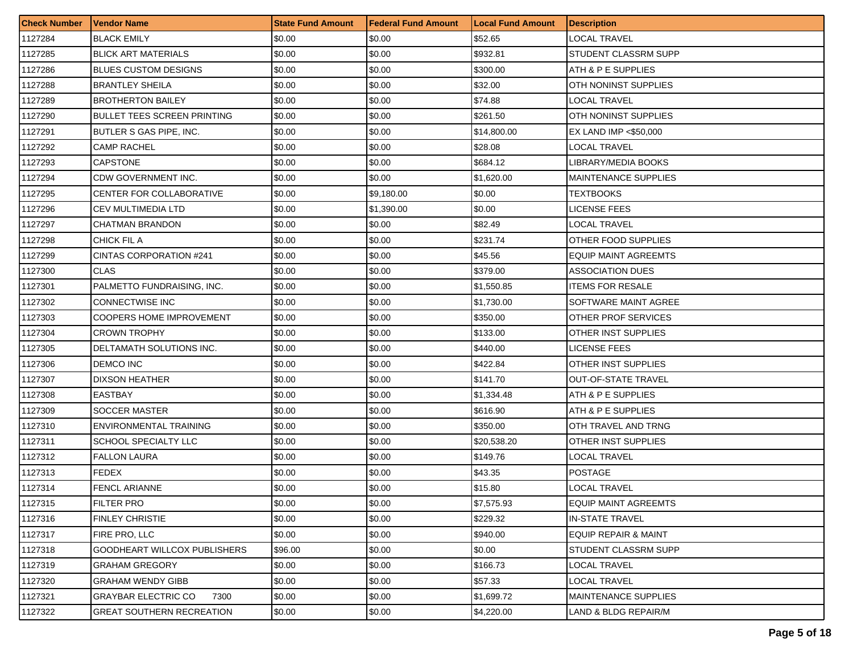| <b>Check Number</b> | Vendor Name                         | <b>State Fund Amount</b> | <b>Federal Fund Amount</b> | <b>Local Fund Amount</b> | <b>Description</b>              |
|---------------------|-------------------------------------|--------------------------|----------------------------|--------------------------|---------------------------------|
| 1127284             | <b>BLACK EMILY</b>                  | \$0.00                   | \$0.00                     | \$52.65                  | LOCAL TRAVEL                    |
| 1127285             | <b>BLICK ART MATERIALS</b>          | \$0.00                   | \$0.00                     | \$932.81                 | STUDENT CLASSRM SUPP            |
| 1127286             | <b>BLUES CUSTOM DESIGNS</b>         | \$0.00                   | \$0.00                     | \$300.00                 | ATH & P E SUPPLIES              |
| 1127288             | <b>BRANTLEY SHEILA</b>              | \$0.00                   | \$0.00                     | \$32.00                  | OTH NONINST SUPPLIES            |
| 1127289             | <b>BROTHERTON BAILEY</b>            | \$0.00                   | \$0.00                     | \$74.88                  | LOCAL TRAVEL                    |
| 1127290             | BULLET TEES SCREEN PRINTING         | \$0.00                   | \$0.00                     | \$261.50                 | <b>OTH NONINST SUPPLIES</b>     |
| 1127291             | BUTLER S GAS PIPE, INC.             | \$0.00                   | \$0.00                     | \$14,800.00              | EX LAND IMP <\$50,000           |
| 1127292             | <b>CAMP RACHEL</b>                  | \$0.00                   | \$0.00                     | \$28.08                  | LOCAL TRAVEL                    |
| 1127293             | <b>CAPSTONE</b>                     | \$0.00                   | \$0.00                     | \$684.12                 | LIBRARY/MEDIA BOOKS             |
| 1127294             | CDW GOVERNMENT INC.                 | \$0.00                   | \$0.00                     | \$1,620.00               | <b>MAINTENANCE SUPPLIES</b>     |
| 1127295             | CENTER FOR COLLABORATIVE            | \$0.00                   | \$9,180.00                 | \$0.00                   | TEXTBOOKS                       |
| 1127296             | <b>CEV MULTIMEDIA LTD</b>           | \$0.00                   | \$1,390.00                 | \$0.00                   | LICENSE FEES                    |
| 1127297             | <b>CHATMAN BRANDON</b>              | \$0.00                   | \$0.00                     | \$82.49                  | LOCAL TRAVEL                    |
| 1127298             | CHICK FIL A                         | \$0.00                   | \$0.00                     | \$231.74                 | OTHER FOOD SUPPLIES             |
| 1127299             | CINTAS CORPORATION #241             | \$0.00                   | \$0.00                     | \$45.56                  | <b>EQUIP MAINT AGREEMTS</b>     |
| 1127300             | <b>CLAS</b>                         | \$0.00                   | \$0.00                     | \$379.00                 | <b>ASSOCIATION DUES</b>         |
| 1127301             | PALMETTO FUNDRAISING, INC.          | \$0.00                   | \$0.00                     | \$1,550.85               | <b>ITEMS FOR RESALE</b>         |
| 1127302             | <b>CONNECTWISE INC</b>              | \$0.00                   | \$0.00                     | \$1,730.00               | SOFTWARE MAINT AGREE            |
| 1127303             | <b>COOPERS HOME IMPROVEMENT</b>     | \$0.00                   | \$0.00                     | \$350.00                 | OTHER PROF SERVICES             |
| 1127304             | <b>CROWN TROPHY</b>                 | \$0.00                   | \$0.00                     | \$133.00                 | OTHER INST SUPPLIES             |
| 1127305             | DELTAMATH SOLUTIONS INC.            | \$0.00                   | \$0.00                     | \$440.00                 | LICENSE FEES                    |
| 1127306             | <b>DEMCO INC</b>                    | \$0.00                   | \$0.00                     | \$422.84                 | OTHER INST SUPPLIES             |
| 1127307             | <b>DIXSON HEATHER</b>               | \$0.00                   | \$0.00                     | \$141.70                 | <b>OUT-OF-STATE TRAVEL</b>      |
| 1127308             | <b>EASTBAY</b>                      | \$0.00                   | \$0.00                     | \$1,334.48               | ATH & P E SUPPLIES              |
| 1127309             | SOCCER MASTER                       | \$0.00                   | \$0.00                     | \$616.90                 | ATH & P E SUPPLIES              |
| 1127310             | ENVIRONMENTAL TRAINING              | \$0.00                   | \$0.00                     | \$350.00                 | OTH TRAVEL AND TRNG             |
| 1127311             | SCHOOL SPECIALTY LLC                | \$0.00                   | \$0.00                     | \$20,538.20              | OTHER INST SUPPLIES             |
| 1127312             | <b>FALLON LAURA</b>                 | \$0.00                   | \$0.00                     | \$149.76                 | LOCAL TRAVEL                    |
| 1127313             | <b>FEDEX</b>                        | \$0.00                   | \$0.00                     | \$43.35                  | <b>POSTAGE</b>                  |
| 1127314             | <b>FENCL ARIANNE</b>                | \$0.00                   | \$0.00                     | \$15.80                  | LOCAL TRAVEL                    |
| 1127315             | <b>FILTER PRO</b>                   | \$0.00                   | \$0.00                     | \$7,575.93               | <b>IEQUIP MAINT AGREEMTS</b>    |
| 1127316             | <b>FINLEY CHRISTIE</b>              | \$0.00                   | \$0.00                     | \$229.32                 | <b>IN-STATE TRAVEL</b>          |
| 1127317             | FIRE PRO, LLC                       | \$0.00                   | \$0.00                     | \$940.00                 | <b>EQUIP REPAIR &amp; MAINT</b> |
| 1127318             | <b>GOODHEART WILLCOX PUBLISHERS</b> | \$96.00                  | \$0.00                     | \$0.00                   | STUDENT CLASSRM SUPP            |
| 1127319             | <b>GRAHAM GREGORY</b>               | \$0.00                   | \$0.00                     | \$166.73                 | LOCAL TRAVEL                    |
| 1127320             | <b>GRAHAM WENDY GIBB</b>            | \$0.00                   | \$0.00                     | \$57.33                  | LOCAL TRAVEL                    |
| 1127321             | <b>GRAYBAR ELECTRIC CO</b><br>7300  | \$0.00                   | \$0.00                     | \$1,699.72               | MAINTENANCE SUPPLIES            |
| 1127322             | <b>GREAT SOUTHERN RECREATION</b>    | \$0.00                   | \$0.00                     | \$4,220.00               | LAND & BLDG REPAIR/M            |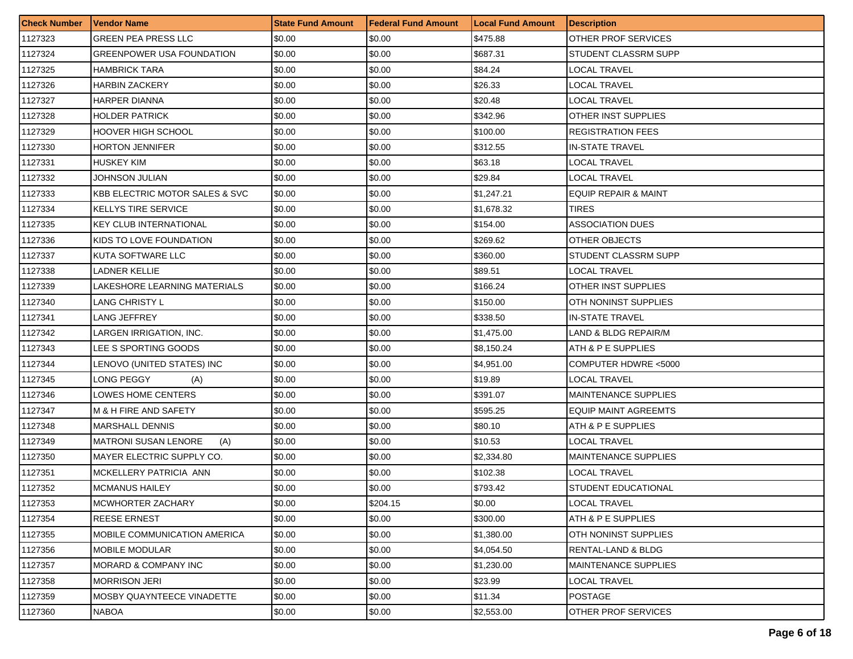| <b>Check Number</b> | <b>Vendor Name</b>                        | <b>State Fund Amount</b> | <b>Federal Fund Amount</b> | <b>Local Fund Amount</b> | <b>Description</b>              |
|---------------------|-------------------------------------------|--------------------------|----------------------------|--------------------------|---------------------------------|
| 1127323             | <b>GREEN PEA PRESS LLC</b>                | \$0.00                   | \$0.00                     | \$475.88                 | OTHER PROF SERVICES             |
| 1127324             | <b>GREENPOWER USA FOUNDATION</b>          | \$0.00                   | \$0.00                     | \$687.31                 | STUDENT CLASSRM SUPP            |
| 1127325             | <b>HAMBRICK TARA</b>                      | \$0.00                   | \$0.00                     | \$84.24                  | LOCAL TRAVEL                    |
| 1127326             | <b>HARBIN ZACKERY</b>                     | \$0.00                   | \$0.00                     | \$26.33                  | <b>LOCAL TRAVEL</b>             |
| 1127327             | HARPER DIANNA                             | \$0.00                   | \$0.00                     | \$20.48                  | LOCAL TRAVEL                    |
| 1127328             | <b>HOLDER PATRICK</b>                     | \$0.00                   | \$0.00                     | \$342.96                 | <b>OTHER INST SUPPLIES</b>      |
| 1127329             | HOOVER HIGH SCHOOL                        | \$0.00                   | \$0.00                     | \$100.00                 | <b>REGISTRATION FEES</b>        |
| 1127330             | <b>HORTON JENNIFER</b>                    | \$0.00                   | \$0.00                     | \$312.55                 | <b>IN-STATE TRAVEL</b>          |
| 1127331             | <b>HUSKEY KIM</b>                         | \$0.00                   | \$0.00                     | \$63.18                  | <b>LOCAL TRAVEL</b>             |
| 1127332             | JOHNSON JULIAN                            | \$0.00                   | \$0.00                     | \$29.84                  | LOCAL TRAVEL                    |
| 1127333             | <b>KBB ELECTRIC MOTOR SALES &amp; SVC</b> | \$0.00                   | \$0.00                     | \$1,247.21               | <b>EQUIP REPAIR &amp; MAINT</b> |
| 1127334             | <b>KELLYS TIRE SERVICE</b>                | \$0.00                   | \$0.00                     | \$1,678.32               | TIRES                           |
| 1127335             | <b>KEY CLUB INTERNATIONAL</b>             | \$0.00                   | \$0.00                     | \$154.00                 | <b>ASSOCIATION DUES</b>         |
| 1127336             | KIDS TO LOVE FOUNDATION                   | \$0.00                   | \$0.00                     | \$269.62                 | OTHER OBJECTS                   |
| 1127337             | KUTA SOFTWARE LLC                         | \$0.00                   | \$0.00                     | \$360.00                 | STUDENT CLASSRM SUPP            |
| 1127338             | LADNER KELLIE                             | \$0.00                   | \$0.00                     | \$89.51                  | <b>LOCAL TRAVEL</b>             |
| 1127339             | LAKESHORE LEARNING MATERIALS              | \$0.00                   | \$0.00                     | \$166.24                 | OTHER INST SUPPLIES             |
| 1127340             | LANG CHRISTY L                            | \$0.00                   | \$0.00                     | \$150.00                 | OTH NONINST SUPPLIES            |
| 1127341             | LANG JEFFREY                              | \$0.00                   | \$0.00                     | \$338.50                 | <b>IN-STATE TRAVEL</b>          |
| 1127342             | LARGEN IRRIGATION, INC.                   | \$0.00                   | \$0.00                     | \$1,475.00               | LAND & BLDG REPAIR/M            |
| 1127343             | LEE S SPORTING GOODS                      | \$0.00                   | \$0.00                     | \$8,150.24               | ATH & P E SUPPLIES              |
| 1127344             | LENOVO (UNITED STATES) INC                | \$0.00                   | \$0.00                     | \$4,951.00               | COMPUTER HDWRE <5000            |
| 1127345             | LONG PEGGY<br>(A)                         | \$0.00                   | \$0.00                     | \$19.89                  | LOCAL TRAVEL                    |
| 1127346             | LOWES HOME CENTERS                        | \$0.00                   | \$0.00                     | \$391.07                 | <b>MAINTENANCE SUPPLIES</b>     |
| 1127347             | M & H FIRE AND SAFETY                     | \$0.00                   | \$0.00                     | \$595.25                 | <b>EQUIP MAINT AGREEMTS</b>     |
| 1127348             | <b>MARSHALL DENNIS</b>                    | \$0.00                   | \$0.00                     | \$80.10                  | ATH & P E SUPPLIES              |
| 1127349             | <b>MATRONI SUSAN LENORE</b><br>(A)        | \$0.00                   | \$0.00                     | \$10.53                  | LOCAL TRAVEL                    |
| 1127350             | MAYER ELECTRIC SUPPLY CO.                 | \$0.00                   | \$0.00                     | \$2,334.80               | <b>MAINTENANCE SUPPLIES</b>     |
| 1127351             | MCKELLERY PATRICIA ANN                    | \$0.00                   | \$0.00                     | \$102.38                 | <b>LOCAL TRAVEL</b>             |
| 1127352             | <b>MCMANUS HAILEY</b>                     | \$0.00                   | \$0.00                     | \$793.42                 | STUDENT EDUCATIONAL             |
| 1127353             | MCWHORTER ZACHARY                         | \$0.00                   | \$204.15                   | \$0.00                   | <b>LOCAL TRAVEL</b>             |
| 1127354             | <b>REESE ERNEST</b>                       | \$0.00                   | \$0.00                     | \$300.00                 | ATH & P E SUPPLIES              |
| 1127355             | <b>MOBILE COMMUNICATION AMERICA</b>       | \$0.00                   | \$0.00                     | \$1,380.00               | OTH NONINST SUPPLIES            |
| 1127356             | <b>MOBILE MODULAR</b>                     | \$0.00                   | \$0.00                     | \$4,054.50               | RENTAL-LAND & BLDG              |
| 1127357             | MORARD & COMPANY INC                      | \$0.00                   | \$0.00                     | \$1,230.00               | <b>MAINTENANCE SUPPLIES</b>     |
| 1127358             | <b>MORRISON JERI</b>                      | \$0.00                   | \$0.00                     | \$23.99                  | <b>LOCAL TRAVEL</b>             |
| 1127359             | MOSBY QUAYNTEECE VINADETTE                | \$0.00                   | \$0.00                     | \$11.34                  | <b>POSTAGE</b>                  |
| 1127360             | <b>NABOA</b>                              | \$0.00                   | \$0.00                     | \$2,553.00               | <b>OTHER PROF SERVICES</b>      |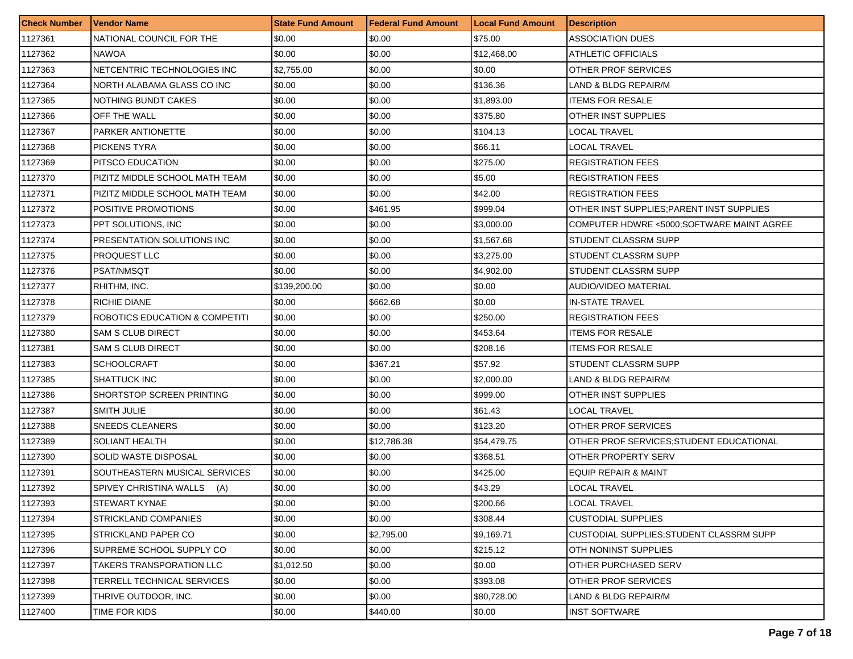| <b>Check Number</b> | l Vendor Name                             | <b>State Fund Amount</b> | <b>Federal Fund Amount</b> | <b>Local Fund Amount</b> | <b>Description</b>                        |
|---------------------|-------------------------------------------|--------------------------|----------------------------|--------------------------|-------------------------------------------|
| 1127361             | NATIONAL COUNCIL FOR THE                  | \$0.00                   | \$0.00                     | \$75.00                  | ASSOCIATION DUES                          |
| 1127362             | NAWOA                                     | \$0.00                   | \$0.00                     | \$12,468.00              | ATHLETIC OFFICIALS                        |
| 1127363             | NETCENTRIC TECHNOLOGIES INC               | \$2,755.00               | \$0.00                     | \$0.00                   | OTHER PROF SERVICES                       |
| 1127364             | NORTH ALABAMA GLASS CO INC                | \$0.00                   | \$0.00                     | \$136.36                 | LAND & BLDG REPAIR/M                      |
| 1127365             | NOTHING BUNDT CAKES                       | \$0.00                   | \$0.00                     | \$1,893.00               | <b>ITEMS FOR RESALE</b>                   |
| 1127366             | OFF THE WALL                              | \$0.00                   | \$0.00                     | \$375.80                 | OTHER INST SUPPLIES                       |
| 1127367             | <b>PARKER ANTIONETTE</b>                  | \$0.00                   | \$0.00                     | \$104.13                 | LOCAL TRAVEL                              |
| 1127368             | <b>PICKENS TYRA</b>                       | \$0.00                   | \$0.00                     | \$66.11                  | LOCAL TRAVEL                              |
| 1127369             | <b>PITSCO EDUCATION</b>                   | \$0.00                   | \$0.00                     | \$275.00                 | <b>REGISTRATION FEES</b>                  |
| 1127370             | PIZITZ MIDDLE SCHOOL MATH TEAM            | \$0.00                   | \$0.00                     | \$5.00                   | <b>REGISTRATION FEES</b>                  |
| 1127371             | PIZITZ MIDDLE SCHOOL MATH TEAM            | \$0.00                   | \$0.00                     | \$42.00                  | <b>REGISTRATION FEES</b>                  |
| 1127372             | POSITIVE PROMOTIONS                       | \$0.00                   | \$461.95                   | \$999.04                 | OTHER INST SUPPLIES; PARENT INST SUPPLIES |
| 1127373             | PPT SOLUTIONS, INC.                       | \$0.00                   | \$0.00                     | \$3,000.00               | COMPUTER HDWRE <5000:SOFTWARE MAINT AGREE |
| 1127374             | <b>PRESENTATION SOLUTIONS INC</b>         | \$0.00                   | \$0.00                     | \$1,567.68               | STUDENT CLASSRM SUPP                      |
| 1127375             | PROQUEST LLC                              | \$0.00                   | \$0.00                     | \$3,275.00               | STUDENT CLASSRM SUPP                      |
| 1127376             | PSAT/NMSQT                                | \$0.00                   | \$0.00                     | \$4,902.00               | STUDENT CLASSRM SUPP                      |
| 1127377             | RHITHM, INC.                              | \$139,200.00             | \$0.00                     | \$0.00                   | AUDIO/VIDEO MATERIAL                      |
| 1127378             | RICHIE DIANE                              | \$0.00                   | \$662.68                   | \$0.00                   | <b>IN-STATE TRAVEL</b>                    |
| 1127379             | <b>ROBOTICS EDUCATION &amp; COMPETITI</b> | \$0.00                   | \$0.00                     | \$250.00                 | <b>REGISTRATION FEES</b>                  |
| 1127380             | SAM S CLUB DIRECT                         | \$0.00                   | \$0.00                     | \$453.64                 | <b>ITEMS FOR RESALE</b>                   |
| 1127381             | <b>SAM S CLUB DIRECT</b>                  | \$0.00                   | \$0.00                     | \$208.16                 | <b>ITEMS FOR RESALE</b>                   |
| 1127383             | <b>SCHOOLCRAFT</b>                        | \$0.00                   | \$367.21                   | \$57.92                  | STUDENT CLASSRM SUPP                      |
| 1127385             | <b>SHATTUCK INC</b>                       | \$0.00                   | \$0.00                     | \$2,000.00               | LAND & BLDG REPAIR/M                      |
| 1127386             | SHORTSTOP SCREEN PRINTING                 | \$0.00                   | \$0.00                     | \$999.00                 | OTHER INST SUPPLIES                       |
| 1127387             | SMITH JULIE                               | \$0.00                   | \$0.00                     | \$61.43                  | LOCAL TRAVEL                              |
| 1127388             | SNEEDS CLEANERS                           | \$0.00                   | \$0.00                     | \$123.20                 | OTHER PROF SERVICES                       |
| 1127389             | SOLIANT HEALTH                            | \$0.00                   | \$12,786.38                | \$54,479.75              | OTHER PROF SERVICES; STUDENT EDUCATIONAL  |
| 1127390             | SOLID WASTE DISPOSAL                      | \$0.00                   | \$0.00                     | \$368.51                 | OTHER PROPERTY SERV                       |
| 1127391             | SOUTHEASTERN MUSICAL SERVICES             | \$0.00                   | \$0.00                     | \$425.00                 | EQUIP REPAIR & MAINT                      |
| 1127392             | SPIVEY CHRISTINA WALLS (A)                | \$0.00                   | \$0.00                     | \$43.29                  | LOCAL TRAVEL                              |
| 1127393             | <b>STEWART KYNAE</b>                      | \$0.00                   | \$0.00                     | \$200.66                 | LOCAL TRAVEL                              |
| 1127394             | STRICKLAND COMPANIES                      | \$0.00                   | \$0.00                     | \$308.44                 | <b>CUSTODIAL SUPPLIES</b>                 |
| 1127395             | STRICKLAND PAPER CO                       | \$0.00                   | \$2,795.00                 | \$9,169.71               | CUSTODIAL SUPPLIES; STUDENT CLASSRM SUPP  |
| 1127396             | SUPREME SCHOOL SUPPLY CO                  | \$0.00                   | \$0.00                     | \$215.12                 | OTH NONINST SUPPLIES                      |
| 1127397             | TAKERS TRANSPORATION LLC                  | \$1,012.50               | \$0.00                     | \$0.00                   | OTHER PURCHASED SERV                      |
| 1127398             | TERRELL TECHNICAL SERVICES                | \$0.00                   | \$0.00                     | \$393.08                 | OTHER PROF SERVICES                       |
| 1127399             | THRIVE OUTDOOR, INC.                      | \$0.00                   | \$0.00                     | \$80,728.00              | LAND & BLDG REPAIR/M                      |
| 1127400             | TIME FOR KIDS                             | \$0.00                   | \$440.00                   | \$0.00                   | <b>INST SOFTWARE</b>                      |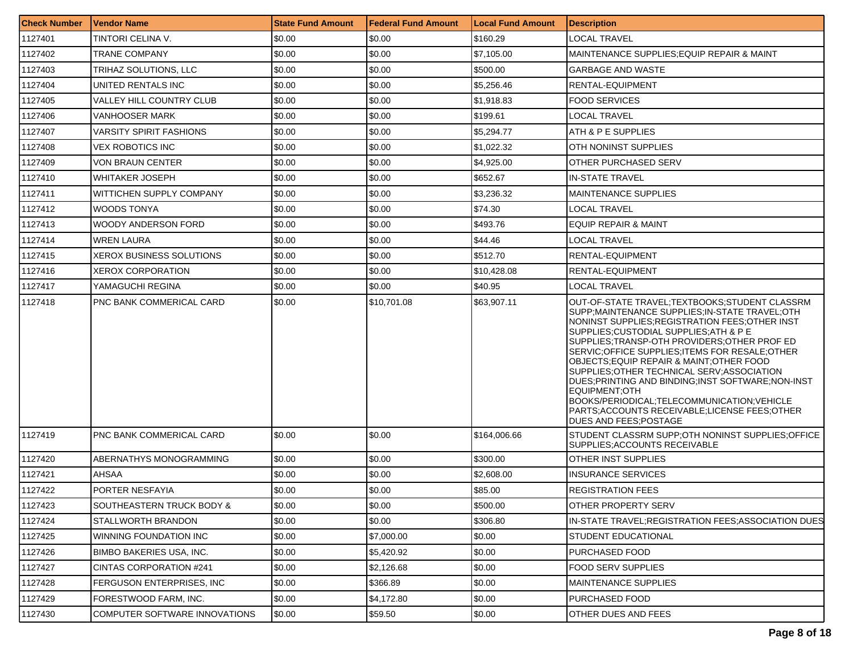| <b>Check Number</b> | <b>Vendor Name</b>              | <b>State Fund Amount</b> | <b>Federal Fund Amount</b> | <b>Local Fund Amount</b> | <b>Description</b>                                                                                                                                                                                                                                                                                                                                                                                                                                                                                                                                                                             |
|---------------------|---------------------------------|--------------------------|----------------------------|--------------------------|------------------------------------------------------------------------------------------------------------------------------------------------------------------------------------------------------------------------------------------------------------------------------------------------------------------------------------------------------------------------------------------------------------------------------------------------------------------------------------------------------------------------------------------------------------------------------------------------|
| 1127401             | TINTORI CELINA V.               | \$0.00                   | \$0.00                     | \$160.29                 | LOCAL TRAVEL                                                                                                                                                                                                                                                                                                                                                                                                                                                                                                                                                                                   |
| 1127402             | <b>TRANE COMPANY</b>            | \$0.00                   | \$0.00                     | \$7,105.00               | MAINTENANCE SUPPLIES;EQUIP REPAIR & MAINT                                                                                                                                                                                                                                                                                                                                                                                                                                                                                                                                                      |
| 1127403             | TRIHAZ SOLUTIONS, LLC           | \$0.00                   | \$0.00                     | \$500.00                 | <b>GARBAGE AND WASTE</b>                                                                                                                                                                                                                                                                                                                                                                                                                                                                                                                                                                       |
| 1127404             | UNITED RENTALS INC              | \$0.00                   | \$0.00                     | \$5,256.46               | RENTAL-EQUIPMENT                                                                                                                                                                                                                                                                                                                                                                                                                                                                                                                                                                               |
| 1127405             | VALLEY HILL COUNTRY CLUB        | \$0.00                   | \$0.00                     | \$1,918.83               | <b>FOOD SERVICES</b>                                                                                                                                                                                                                                                                                                                                                                                                                                                                                                                                                                           |
| 1127406             | <b>VANHOOSER MARK</b>           | \$0.00                   | \$0.00                     | \$199.61                 | LOCAL TRAVEL                                                                                                                                                                                                                                                                                                                                                                                                                                                                                                                                                                                   |
| 1127407             | <b>VARSITY SPIRIT FASHIONS</b>  | \$0.00                   | \$0.00                     | \$5.294.77               | <b>ATH &amp; P E SUPPLIES</b>                                                                                                                                                                                                                                                                                                                                                                                                                                                                                                                                                                  |
| 1127408             | <b>VEX ROBOTICS INC</b>         | \$0.00                   | \$0.00                     | \$1,022.32               | IOTH NONINST SUPPLIES                                                                                                                                                                                                                                                                                                                                                                                                                                                                                                                                                                          |
| 1127409             | <b>VON BRAUN CENTER</b>         | \$0.00                   | \$0.00                     | \$4,925.00               | OTHER PURCHASED SERV                                                                                                                                                                                                                                                                                                                                                                                                                                                                                                                                                                           |
| 1127410             | <b>WHITAKER JOSEPH</b>          | \$0.00                   | \$0.00                     | \$652.67                 | IN-STATE TRAVEL                                                                                                                                                                                                                                                                                                                                                                                                                                                                                                                                                                                |
| 1127411             | WITTICHEN SUPPLY COMPANY        | \$0.00                   | \$0.00                     | \$3,236.32               | IMAINTENANCE SUPPLIES                                                                                                                                                                                                                                                                                                                                                                                                                                                                                                                                                                          |
| 1127412             | <b>WOODS TONYA</b>              | \$0.00                   | \$0.00                     | \$74.30                  | LOCAL TRAVEL                                                                                                                                                                                                                                                                                                                                                                                                                                                                                                                                                                                   |
| 1127413             | <b>WOODY ANDERSON FORD</b>      | \$0.00                   | \$0.00                     | \$493.76                 | <b>EQUIP REPAIR &amp; MAINT</b>                                                                                                                                                                                                                                                                                                                                                                                                                                                                                                                                                                |
| 1127414             | <b>WREN LAURA</b>               | \$0.00                   | \$0.00                     | \$44.46                  | LOCAL TRAVEL                                                                                                                                                                                                                                                                                                                                                                                                                                                                                                                                                                                   |
| 1127415             | <b>XEROX BUSINESS SOLUTIONS</b> | \$0.00                   | \$0.00                     | \$512.70                 | RENTAL-EQUIPMENT                                                                                                                                                                                                                                                                                                                                                                                                                                                                                                                                                                               |
| 1127416             | <b>XEROX CORPORATION</b>        | \$0.00                   | \$0.00                     | \$10,428.08              | RENTAL-EQUIPMENT                                                                                                                                                                                                                                                                                                                                                                                                                                                                                                                                                                               |
| 1127417             | YAMAGUCHI REGINA                | \$0.00                   | \$0.00                     | \$40.95                  | LOCAL TRAVEL                                                                                                                                                                                                                                                                                                                                                                                                                                                                                                                                                                                   |
| 1127418             | PNC BANK COMMERICAL CARD        | \$0.00                   | \$10,701.08                | \$63,907.11              | OUT-OF-STATE TRAVEL:TEXTBOOKS:STUDENT CLASSRM<br>SUPP; MAINTENANCE SUPPLIES; IN-STATE TRAVEL; OTH<br>NONINST SUPPLIES:REGISTRATION FEES:OTHER INST<br>SUPPLIES; CUSTODIAL SUPPLIES; ATH & P E<br>SUPPLIES: TRANSP-OTH PROVIDERS: OTHER PROF ED<br>SERVIC; OFFICE SUPPLIES; ITEMS FOR RESALE; OTHER<br>OBJECTS:EQUIP REPAIR & MAINT:OTHER FOOD<br>SUPPLIES: OTHER TECHNICAL SERV: ASSOCIATION<br>DUES; PRINTING AND BINDING; INST SOFTWARE; NON-INST<br>EQUIPMENT:OTH<br>BOOKS/PERIODICAL;TELECOMMUNICATION;VEHICLE<br>PARTS, ACCOUNTS RECEIVABLE, LICENSE FEES, OTHER<br>DUES AND FEES;POSTAGE |
| 1127419             | PNC BANK COMMERICAL CARD        | \$0.00                   | \$0.00                     | \$164,006.66             | STUDENT CLASSRM SUPP;OTH NONINST SUPPLIES;OFFICE<br>SUPPLIES; ACCOUNTS RECEIVABLE                                                                                                                                                                                                                                                                                                                                                                                                                                                                                                              |
| 1127420             | ABERNATHYS MONOGRAMMING         | \$0.00                   | \$0.00                     | \$300.00                 | <b>OTHER INST SUPPLIES</b>                                                                                                                                                                                                                                                                                                                                                                                                                                                                                                                                                                     |
| 1127421             | AHSAA                           | \$0.00                   | \$0.00                     | \$2,608.00               | <b>INSURANCE SERVICES</b>                                                                                                                                                                                                                                                                                                                                                                                                                                                                                                                                                                      |
| 1127422             | PORTER NESFAYIA                 | \$0.00                   | \$0.00                     | \$85.00                  | <b>REGISTRATION FEES</b>                                                                                                                                                                                                                                                                                                                                                                                                                                                                                                                                                                       |
| 1127423             | SOUTHEASTERN TRUCK BODY &       | \$0.00                   | \$0.00                     | \$500.00                 | <b>OTHER PROPERTY SERV</b>                                                                                                                                                                                                                                                                                                                                                                                                                                                                                                                                                                     |
| 1127424             | STALLWORTH BRANDON              | \$0.00                   | \$0.00                     | \$306.80                 | IN-STATE TRAVEL; REGISTRATION FEES; ASSOCIATION DUES                                                                                                                                                                                                                                                                                                                                                                                                                                                                                                                                           |
| 1127425             | WINNING FOUNDATION INC          | \$0.00                   | \$7,000.00                 | \$0.00                   | <b>STUDENT EDUCATIONAL</b>                                                                                                                                                                                                                                                                                                                                                                                                                                                                                                                                                                     |
| 1127426             | <b>BIMBO BAKERIES USA, INC.</b> | \$0.00                   | \$5,420.92                 | \$0.00                   | PURCHASED FOOD                                                                                                                                                                                                                                                                                                                                                                                                                                                                                                                                                                                 |
| 1127427             | CINTAS CORPORATION #241         | \$0.00                   | \$2,126.68                 | \$0.00                   | FOOD SERV SUPPLIES                                                                                                                                                                                                                                                                                                                                                                                                                                                                                                                                                                             |
| 1127428             | FERGUSON ENTERPRISES, INC.      | \$0.00                   | \$366.89                   | \$0.00                   | <b>MAINTENANCE SUPPLIES</b>                                                                                                                                                                                                                                                                                                                                                                                                                                                                                                                                                                    |
| 1127429             | FORESTWOOD FARM. INC.           | \$0.00                   | \$4,172.80                 | \$0.00                   | PURCHASED FOOD                                                                                                                                                                                                                                                                                                                                                                                                                                                                                                                                                                                 |
| 1127430             | COMPUTER SOFTWARE INNOVATIONS   | \$0.00                   | \$59.50                    | \$0.00                   | OTHER DUES AND FEES                                                                                                                                                                                                                                                                                                                                                                                                                                                                                                                                                                            |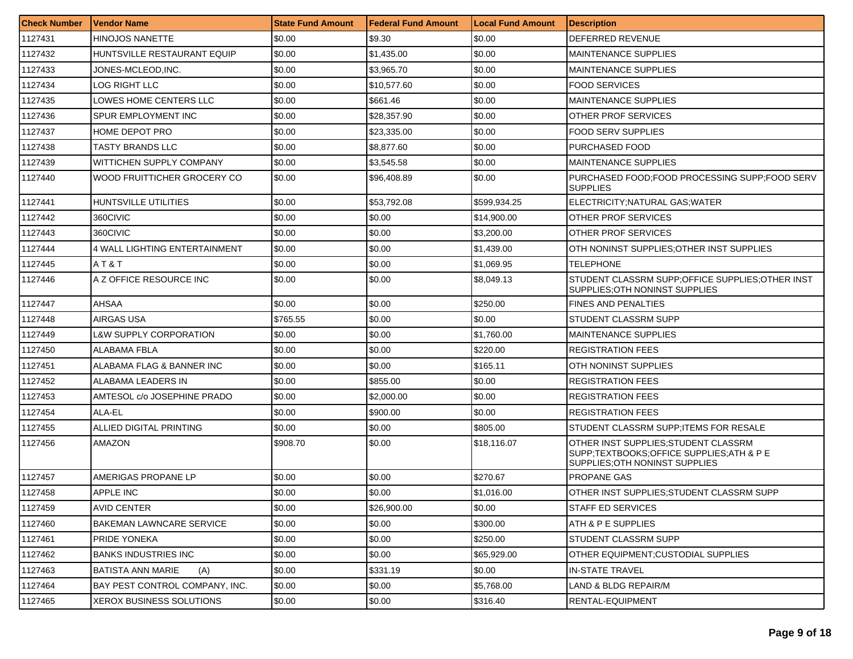| <b>Check Number</b> | <b>Vendor Name</b>              | <b>State Fund Amount</b> | l Federal Fund Amount | <b>Local Fund Amount</b> | <b>Description</b>                                                                                                 |
|---------------------|---------------------------------|--------------------------|-----------------------|--------------------------|--------------------------------------------------------------------------------------------------------------------|
| 1127431             | <b>HINOJOS NANETTE</b>          | \$0.00                   | \$9.30                | \$0.00                   | <b>DEFERRED REVENUE</b>                                                                                            |
| 1127432             | HUNTSVILLE RESTAURANT EQUIP     | \$0.00                   | \$1,435.00            | \$0.00                   | <b>MAINTENANCE SUPPLIES</b>                                                                                        |
| 1127433             | JONES-MCLEOD,INC.               | \$0.00                   | \$3,965.70            | \$0.00                   | <b>MAINTENANCE SUPPLIES</b>                                                                                        |
| 1127434             | <b>LOG RIGHT LLC</b>            | \$0.00                   | \$10,577.60           | \$0.00                   | <b>FOOD SERVICES</b>                                                                                               |
| 1127435             | LOWES HOME CENTERS LLC          | \$0.00                   | \$661.46              | \$0.00                   | <b>MAINTENANCE SUPPLIES</b>                                                                                        |
| 1127436             | SPUR EMPLOYMENT INC             | \$0.00                   | \$28,357.90           | \$0.00                   | OTHER PROF SERVICES                                                                                                |
| 1127437             | HOME DEPOT PRO                  | \$0.00                   | \$23.335.00           | \$0.00                   | FOOD SERV SUPPLIES                                                                                                 |
| 1127438             | TASTY BRANDS LLC                | \$0.00                   | \$8,877.60            | \$0.00                   | PURCHASED FOOD                                                                                                     |
| 1127439             | <b>WITTICHEN SUPPLY COMPANY</b> | \$0.00                   | \$3,545.58            | \$0.00                   | <b>MAINTENANCE SUPPLIES</b>                                                                                        |
| 1127440             | WOOD FRUITTICHER GROCERY CO     | \$0.00                   | \$96,408.89           | \$0.00                   | PURCHASED FOOD:FOOD PROCESSING SUPP:FOOD SERV<br><b>SUPPLIES</b>                                                   |
| 1127441             | HUNTSVILLE UTILITIES            | \$0.00                   | \$53,792.08           | \$599,934.25             | ELECTRICITY; NATURAL GAS; WATER                                                                                    |
| 1127442             | 360CIVIC                        | \$0.00                   | \$0.00                | \$14,900.00              | OTHER PROF SERVICES                                                                                                |
| 1127443             | 360CIVIC                        | \$0.00                   | \$0.00                | \$3,200.00               | OTHER PROF SERVICES                                                                                                |
| 1127444             | 4 WALL LIGHTING ENTERTAINMENT   | \$0.00                   | \$0.00                | \$1,439.00               | OTH NONINST SUPPLIES:OTHER INST SUPPLIES                                                                           |
| 1127445             | AT&T                            | \$0.00                   | \$0.00                | \$1,069.95               | <b>TELEPHONE</b>                                                                                                   |
| 1127446             | A Z OFFICE RESOURCE INC         | \$0.00                   | \$0.00                | \$8,049.13               | STUDENT CLASSRM SUPP:OFFICE SUPPLIES:OTHER INST<br>SUPPLIES: OTH NONINST SUPPLIES                                  |
| 1127447             | <b>AHSAA</b>                    | \$0.00                   | \$0.00                | \$250.00                 | FINES AND PENALTIES                                                                                                |
| 1127448             | AIRGAS USA                      | \$765.55                 | \$0.00                | \$0.00                   | STUDENT CLASSRM SUPP                                                                                               |
| 1127449             | L&W SUPPLY CORPORATION          | \$0.00                   | \$0.00                | \$1,760.00               | <b>MAINTENANCE SUPPLIES</b>                                                                                        |
| 1127450             | ALABAMA FBLA                    | \$0.00                   | \$0.00                | \$220.00                 | <b>REGISTRATION FEES</b>                                                                                           |
| 1127451             | ALABAMA FLAG & BANNER INC       | \$0.00                   | \$0.00                | \$165.11                 | OTH NONINST SUPPLIES                                                                                               |
| 1127452             | ALABAMA LEADERS IN              | \$0.00                   | \$855.00              | \$0.00                   | <b>REGISTRATION FEES</b>                                                                                           |
| 1127453             | AMTESOL c/o JOSEPHINE PRADO     | \$0.00                   | \$2,000.00            | \$0.00                   | REGISTRATION FEES                                                                                                  |
| 1127454             | ALA-EL                          | \$0.00                   | \$900.00              | \$0.00                   | <b>REGISTRATION FEES</b>                                                                                           |
| 1127455             | ALLIED DIGITAL PRINTING         | \$0.00                   | \$0.00                | \$805.00                 | STUDENT CLASSRM SUPP; ITEMS FOR RESALE                                                                             |
| 1127456             | <b>AMAZON</b>                   | \$908.70                 | \$0.00                | \$18,116.07              | OTHER INST SUPPLIES; STUDENT CLASSRM<br>SUPP;TEXTBOOKS;OFFICE SUPPLIES;ATH & P E<br>SUPPLIES; OTH NONINST SUPPLIES |
| 1127457             | AMERIGAS PROPANE LP             | \$0.00                   | \$0.00                | \$270.67                 | PROPANE GAS                                                                                                        |
| 1127458             | <b>APPLE INC</b>                | \$0.00                   | \$0.00                | \$1,016,00               | OTHER INST SUPPLIES:STUDENT CLASSRM SUPP                                                                           |
| 1127459             | AVID CENTER                     | \$0.00                   | \$26,900.00           | \$0.00                   | STAFF ED SERVICES                                                                                                  |
| 1127460             | <b>BAKEMAN LAWNCARE SERVICE</b> | \$0.00                   | \$0.00                | \$300.00                 | ATH & P E SUPPLIES                                                                                                 |
| 1127461             | PRIDE YONEKA                    | \$0.00                   | \$0.00                | \$250.00                 | STUDENT CLASSRM SUPP                                                                                               |
| 1127462             | <b>BANKS INDUSTRIES INC</b>     | \$0.00                   | \$0.00                | \$65,929.00              | OTHER EQUIPMENT: CUSTODIAL SUPPLIES                                                                                |
| 1127463             | BATISTA ANN MARIE<br>(A)        | \$0.00                   | \$331.19              | \$0.00                   | <b>IN-STATE TRAVEL</b>                                                                                             |
| 1127464             | BAY PEST CONTROL COMPANY, INC.  | \$0.00                   | \$0.00                | \$5,768.00               | LAND & BLDG REPAIR/M                                                                                               |
| 1127465             | XEROX BUSINESS SOLUTIONS        | \$0.00                   | \$0.00                | \$316.40                 | RENTAL-EQUIPMENT                                                                                                   |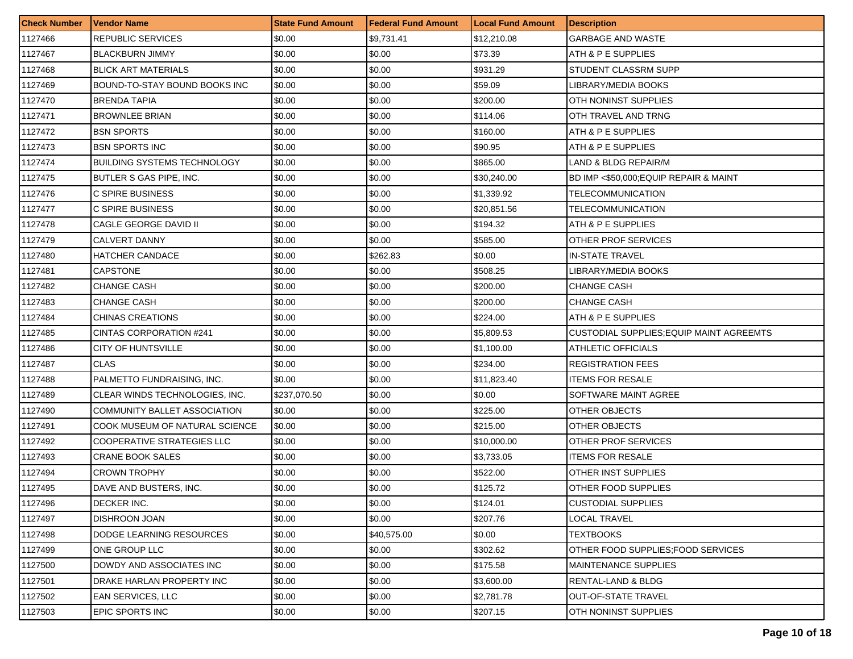| <b>Check Number</b> | <b>Vendor Name</b>                 | <b>State Fund Amount</b> | <b>Federal Fund Amount</b> | <b>Local Fund Amount</b> | <b>Description</b>                              |
|---------------------|------------------------------------|--------------------------|----------------------------|--------------------------|-------------------------------------------------|
| 1127466             | <b>REPUBLIC SERVICES</b>           | \$0.00                   | \$9,731.41                 | \$12,210.08              | <b>GARBAGE AND WASTE</b>                        |
| 1127467             | <b>BLACKBURN JIMMY</b>             | \$0.00                   | \$0.00                     | \$73.39                  | ATH & P E SUPPLIES                              |
| 1127468             | <b>BLICK ART MATERIALS</b>         | \$0.00                   | \$0.00                     | \$931.29                 | STUDENT CLASSRM SUPP                            |
| 1127469             | BOUND-TO-STAY BOUND BOOKS INC      | \$0.00                   | \$0.00                     | \$59.09                  | LIBRARY/MEDIA BOOKS                             |
| 1127470             | <b>BRENDA TAPIA</b>                | \$0.00                   | \$0.00                     | \$200.00                 | OTH NONINST SUPPLIES                            |
| 1127471             | <b>BROWNLEE BRIAN</b>              | \$0.00                   | \$0.00                     | \$114.06                 | OTH TRAVEL AND TRNG                             |
| 1127472             | <b>BSN SPORTS</b>                  | \$0.00                   | \$0.00                     | \$160.00                 | ATH & P E SUPPLIES                              |
| 1127473             | <b>BSN SPORTS INC</b>              | \$0.00                   | \$0.00                     | \$90.95                  | ATH & P E SUPPLIES                              |
| 1127474             | <b>BUILDING SYSTEMS TECHNOLOGY</b> | \$0.00                   | \$0.00                     | \$865.00                 | LAND & BLDG REPAIR/M                            |
| 1127475             | <b>BUTLER S GAS PIPE, INC.</b>     | \$0.00                   | \$0.00                     | \$30,240.00              | BD IMP <\$50,000; EQUIP REPAIR & MAINT          |
| 1127476             | C SPIRE BUSINESS                   | \$0.00                   | \$0.00                     | \$1,339.92               | TELECOMMUNICATION                               |
| 1127477             | C SPIRE BUSINESS                   | \$0.00                   | \$0.00                     | \$20,851.56              | TELECOMMUNICATION                               |
| 1127478             | CAGLE GEORGE DAVID II              | \$0.00                   | \$0.00                     | \$194.32                 | ATH & P E SUPPLIES                              |
| 1127479             | <b>CALVERT DANNY</b>               | \$0.00                   | \$0.00                     | \$585.00                 | OTHER PROF SERVICES                             |
| 1127480             | <b>HATCHER CANDACE</b>             | \$0.00                   | \$262.83                   | \$0.00                   | <b>IN-STATE TRAVEL</b>                          |
| 1127481             | <b>CAPSTONE</b>                    | \$0.00                   | \$0.00                     | \$508.25                 | LIBRARY/MEDIA BOOKS                             |
| 1127482             | <b>CHANGE CASH</b>                 | \$0.00                   | \$0.00                     | \$200.00                 | <b>CHANGE CASH</b>                              |
| 1127483             | <b>CHANGE CASH</b>                 | \$0.00                   | \$0.00                     | \$200.00                 | <b>CHANGE CASH</b>                              |
| 1127484             | CHINAS CREATIONS                   | \$0.00                   | \$0.00                     | \$224.00                 | ATH & P E SUPPLIES                              |
| 1127485             | CINTAS CORPORATION #241            | \$0.00                   | \$0.00                     | \$5,809.53               | <b>CUSTODIAL SUPPLIES; EQUIP MAINT AGREEMTS</b> |
| 1127486             | CITY OF HUNTSVILLE                 | \$0.00                   | \$0.00                     | \$1,100.00               | ATHLETIC OFFICIALS                              |
| 1127487             | <b>CLAS</b>                        | \$0.00                   | \$0.00                     | \$234.00                 | <b>REGISTRATION FEES</b>                        |
| 1127488             | PALMETTO FUNDRAISING, INC.         | \$0.00                   | \$0.00                     | \$11,823.40              | <b>ITEMS FOR RESALE</b>                         |
| 1127489             | CLEAR WINDS TECHNOLOGIES, INC.     | \$237,070.50             | \$0.00                     | \$0.00                   | SOFTWARE MAINT AGREE                            |
| 1127490             | COMMUNITY BALLET ASSOCIATION       | \$0.00                   | \$0.00                     | \$225.00                 | OTHER OBJECTS                                   |
| 1127491             | COOK MUSEUM OF NATURAL SCIENCE     | \$0.00                   | \$0.00                     | \$215.00                 | <b>OTHER OBJECTS</b>                            |
| 1127492             | <b>COOPERATIVE STRATEGIES LLC</b>  | \$0.00                   | \$0.00                     | \$10,000.00              | OTHER PROF SERVICES                             |
| 1127493             | <b>CRANE BOOK SALES</b>            | \$0.00                   | \$0.00                     | \$3,733.05               | <b>ITEMS FOR RESALE</b>                         |
| 1127494             | <b>CROWN TROPHY</b>                | \$0.00                   | \$0.00                     | \$522.00                 | OTHER INST SUPPLIES                             |
| 1127495             | DAVE AND BUSTERS, INC.             | \$0.00                   | \$0.00                     | \$125.72                 | OTHER FOOD SUPPLIES                             |
| 1127496             | <b>DECKER INC.</b>                 | \$0.00                   | \$0.00                     | \$124.01                 | <b>ICUSTODIAL SUPPLIES</b>                      |
| 1127497             | DISHROON JOAN                      | \$0.00                   | \$0.00                     | \$207.76                 | LOCAL TRAVEL                                    |
| 1127498             | DODGE LEARNING RESOURCES           | \$0.00                   | \$40,575.00                | \$0.00                   | <b>TEXTBOOKS</b>                                |
| 1127499             | ONE GROUP LLC                      | \$0.00                   | \$0.00                     | \$302.62                 | OTHER FOOD SUPPLIES: FOOD SERVICES              |
| 1127500             | DOWDY AND ASSOCIATES INC           | \$0.00                   | \$0.00                     | \$175.58                 | <b>MAINTENANCE SUPPLIES</b>                     |
| 1127501             | DRAKE HARLAN PROPERTY INC          | \$0.00                   | \$0.00                     | \$3,600.00               | RENTAL-LAND & BLDG                              |
| 1127502             | <b>EAN SERVICES, LLC</b>           | \$0.00                   | \$0.00                     | \$2,781.78               | <b>OUT-OF-STATE TRAVEL</b>                      |
| 1127503             | EPIC SPORTS INC                    | \$0.00                   | \$0.00                     | \$207.15                 | OTH NONINST SUPPLIES                            |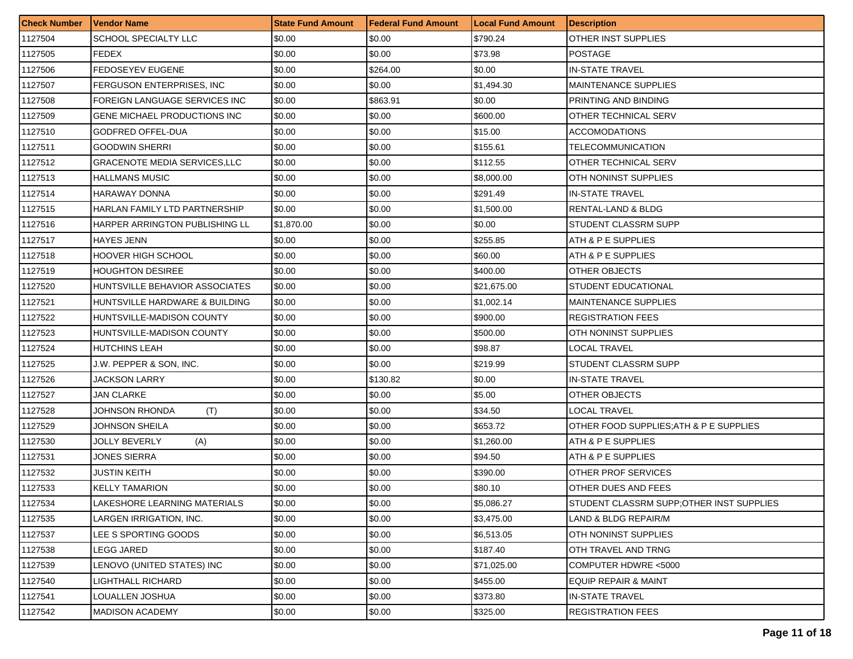| <b>Check Number</b> | Vendor Name                         | <b>State Fund Amount</b> | Federal Fund Amount | <b>Local Fund Amount</b> | <b>Description</b>                       |
|---------------------|-------------------------------------|--------------------------|---------------------|--------------------------|------------------------------------------|
| 1127504             | SCHOOL SPECIALTY LLC                | \$0.00                   | \$0.00              | \$790.24                 | OTHER INST SUPPLIES                      |
| 1127505             | FEDEX                               | \$0.00                   | \$0.00              | \$73.98                  | <b>POSTAGE</b>                           |
| 1127506             | <b>FEDOSEYEV EUGENE</b>             | \$0.00                   | \$264.00            | \$0.00                   | <b>IN-STATE TRAVEL</b>                   |
| 1127507             | FERGUSON ENTERPRISES, INC.          | \$0.00                   | \$0.00              | \$1,494.30               | <b>MAINTENANCE SUPPLIES</b>              |
| 1127508             | FOREIGN LANGUAGE SERVICES INC       | \$0.00                   | \$863.91            | \$0.00                   | PRINTING AND BINDING                     |
| 1127509             | GENE MICHAEL PRODUCTIONS INC        | \$0.00                   | \$0.00              | \$600.00                 | OTHER TECHNICAL SERV                     |
| 1127510             | GODFRED OFFEL-DUA                   | \$0.00                   | \$0.00              | \$15.00                  | <b>ACCOMODATIONS</b>                     |
| 1127511             | <b>GOODWIN SHERRI</b>               | \$0.00                   | \$0.00              | \$155.61                 | TELECOMMUNICATION                        |
| 1127512             | <b>GRACENOTE MEDIA SERVICES,LLC</b> | \$0.00                   | \$0.00              | \$112.55                 | OTHER TECHNICAL SERV                     |
| 1127513             | HALLMANS MUSIC                      | \$0.00                   | \$0.00              | \$8,000.00               | OTH NONINST SUPPLIES                     |
| 1127514             | HARAWAY DONNA                       | \$0.00                   | \$0.00              | \$291.49                 | <b>IN-STATE TRAVEL</b>                   |
| 1127515             | HARLAN FAMILY LTD PARTNERSHIP       | \$0.00                   | \$0.00              | \$1,500.00               | RENTAL-LAND & BLDG                       |
| 1127516             | HARPER ARRINGTON PUBLISHING LL      | \$1,870.00               | \$0.00              | \$0.00                   | STUDENT CLASSRM SUPP                     |
| 1127517             | HAYES JENN                          | \$0.00                   | \$0.00              | \$255.85                 | ATH & P E SUPPLIES                       |
| 1127518             | <b>HOOVER HIGH SCHOOL</b>           | \$0.00                   | \$0.00              | \$60.00                  | ATH & P E SUPPLIES                       |
| 1127519             | <b>HOUGHTON DESIREE</b>             | \$0.00                   | \$0.00              | \$400.00                 | OTHER OBJECTS                            |
| 1127520             | HUNTSVILLE BEHAVIOR ASSOCIATES      | \$0.00                   | \$0.00              | \$21,675.00              | <b>STUDENT EDUCATIONAL</b>               |
| 1127521             | HUNTSVILLE HARDWARE & BUILDING      | \$0.00                   | \$0.00              | \$1,002.14               | <b>MAINTENANCE SUPPLIES</b>              |
| 1127522             | HUNTSVILLE-MADISON COUNTY           | \$0.00                   | \$0.00              | \$900.00                 | <b>REGISTRATION FEES</b>                 |
| 1127523             | HUNTSVILLE-MADISON COUNTY           | \$0.00                   | \$0.00              | \$500.00                 | OTH NONINST SUPPLIES                     |
| 1127524             | <b>HUTCHINS LEAH</b>                | \$0.00                   | \$0.00              | \$98.87                  | LOCAL TRAVEL                             |
| 1127525             | J.W. PEPPER & SON, INC.             | \$0.00                   | \$0.00              | \$219.99                 | STUDENT CLASSRM SUPP                     |
| 1127526             | <b>JACKSON LARRY</b>                | \$0.00                   | \$130.82            | \$0.00                   | <b>IN-STATE TRAVEL</b>                   |
| 1127527             | JAN CLARKE                          | \$0.00                   | \$0.00              | \$5.00                   | OTHER OBJECTS                            |
| 1127528             | JOHNSON RHONDA<br>(T)               | \$0.00                   | \$0.00              | \$34.50                  | LOCAL TRAVEL                             |
| 1127529             | JOHNSON SHEILA                      | \$0.00                   | \$0.00              | \$653.72                 | OTHER FOOD SUPPLIES; ATH & P E SUPPLIES  |
| 1127530             | <b>JOLLY BEVERLY</b><br>(A)         | \$0.00                   | \$0.00              | \$1,260.00               | ATH & P E SUPPLIES                       |
| 1127531             | <b>JONES SIERRA</b>                 | \$0.00                   | \$0.00              | \$94.50                  | ATH & P E SUPPLIES                       |
| 1127532             | JUSTIN KEITH                        | \$0.00                   | \$0.00              | \$390.00                 | OTHER PROF SERVICES                      |
| 1127533             | <b>KELLY TAMARION</b>               | \$0.00                   | \$0.00              | \$80.10                  | OTHER DUES AND FEES                      |
| 1127534             | LAKESHORE LEARNING MATERIALS        | \$0.00                   | \$0.00              | \$5,086.27               | STUDENT CLASSRM SUPP;OTHER INST SUPPLIES |
| 1127535             | LARGEN IRRIGATION, INC.             | \$0.00                   | \$0.00              | \$3,475.00               | LAND & BLDG REPAIR/M                     |
| 1127537             | LEE S SPORTING GOODS                | \$0.00                   | \$0.00              | \$6,513.05               | <b>OTH NONINST SUPPLIES</b>              |
| 1127538             | LEGG JARED                          | \$0.00                   | \$0.00              | \$187.40                 | OTH TRAVEL AND TRNG                      |
| 1127539             | LENOVO (UNITED STATES) INC          | \$0.00                   | \$0.00              | \$71,025.00              | COMPUTER HDWRE <5000                     |
| 1127540             | LIGHTHALL RICHARD                   | \$0.00                   | \$0.00              | \$455.00                 | EQUIP REPAIR & MAINT                     |
| 1127541             | LOUALLEN JOSHUA                     | \$0.00                   | \$0.00              | \$373.80                 | <b>IN-STATE TRAVEL</b>                   |
| 1127542             | MADISON ACADEMY                     | \$0.00                   | \$0.00              | \$325.00                 | <b>REGISTRATION FEES</b>                 |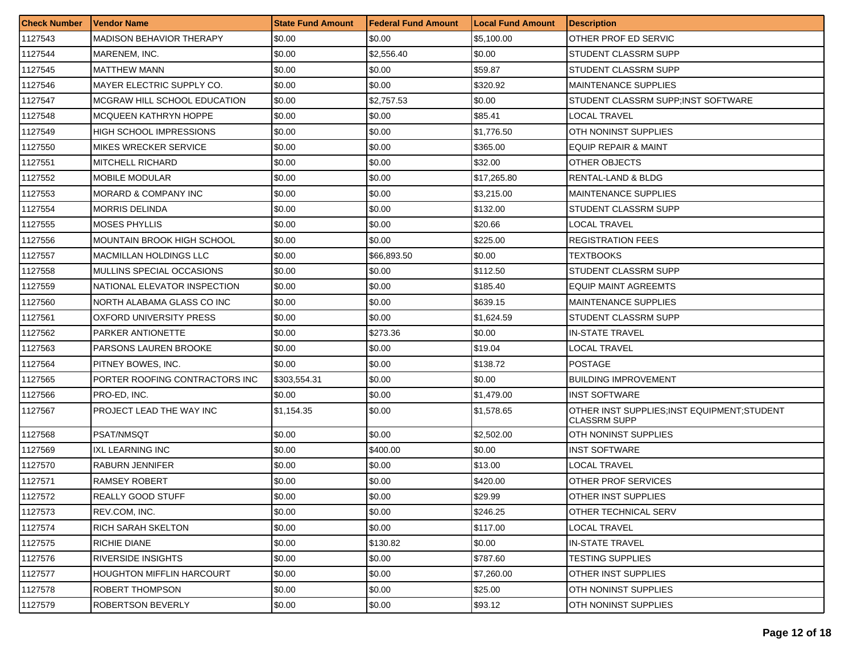| <b>Check Number</b> | Vendor Name                      | <b>State Fund Amount</b> | l Federal Fund Amount | <b>Local Fund Amount</b> | <b>Description</b>                                                  |
|---------------------|----------------------------------|--------------------------|-----------------------|--------------------------|---------------------------------------------------------------------|
| 1127543             | <b>MADISON BEHAVIOR THERAPY</b>  | \$0.00                   | \$0.00                | \$5,100.00               | OTHER PROF ED SERVIC                                                |
| 1127544             | MARENEM. INC.                    | \$0.00                   | \$2,556.40            | \$0.00                   | STUDENT CLASSRM SUPP                                                |
| 1127545             | <b>MATTHEW MANN</b>              | \$0.00                   | \$0.00                | \$59.87                  | STUDENT CLASSRM SUPP                                                |
| 1127546             | MAYER ELECTRIC SUPPLY CO.        | \$0.00                   | \$0.00                | \$320.92                 | <b>MAINTENANCE SUPPLIES</b>                                         |
| 1127547             | MCGRAW HILL SCHOOL EDUCATION     | \$0.00                   | \$2,757.53            | \$0.00                   | STUDENT CLASSRM SUPP;INST SOFTWARE                                  |
| 1127548             | MCQUEEN KATHRYN HOPPE            | \$0.00                   | \$0.00                | \$85.41                  | <b>LOCAL TRAVEL</b>                                                 |
| 1127549             | HIGH SCHOOL IMPRESSIONS          | \$0.00                   | \$0.00                | \$1,776.50               | OTH NONINST SUPPLIES                                                |
| 1127550             | MIKES WRECKER SERVICE            | \$0.00                   | \$0.00                | \$365.00                 | <b>EQUIP REPAIR &amp; MAINT</b>                                     |
| 1127551             | MITCHELL RICHARD                 | \$0.00                   | \$0.00                | \$32.00                  | OTHER OBJECTS                                                       |
| 1127552             | <b>MOBILE MODULAR</b>            | \$0.00                   | \$0.00                | \$17,265.80              | RENTAL-LAND & BLDG                                                  |
| 1127553             | MORARD & COMPANY INC             | \$0.00                   | \$0.00                | \$3,215.00               | <b>MAINTENANCE SUPPLIES</b>                                         |
| 1127554             | MORRIS DELINDA                   | \$0.00                   | \$0.00                | \$132.00                 | STUDENT CLASSRM SUPP                                                |
| 1127555             | <b>MOSES PHYLLIS</b>             | \$0.00                   | \$0.00                | \$20.66                  | LOCAL TRAVEL                                                        |
| 1127556             | MOUNTAIN BROOK HIGH SCHOOL       | \$0.00                   | \$0.00                | \$225.00                 | <b>REGISTRATION FEES</b>                                            |
| 1127557             | <b>MACMILLAN HOLDINGS LLC</b>    | \$0.00                   | \$66,893.50           | \$0.00                   | TEXTBOOKS                                                           |
| 1127558             | MULLINS SPECIAL OCCASIONS        | \$0.00                   | \$0.00                | \$112.50                 | STUDENT CLASSRM SUPP                                                |
| 1127559             | NATIONAL ELEVATOR INSPECTION     | \$0.00                   | \$0.00                | \$185.40                 | <b>EQUIP MAINT AGREEMTS</b>                                         |
| 1127560             | NORTH ALABAMA GLASS CO INC       | \$0.00                   | \$0.00                | \$639.15                 | <b>MAINTENANCE SUPPLIES</b>                                         |
| 1127561             | OXFORD UNIVERSITY PRESS          | \$0.00                   | \$0.00                | \$1,624.59               | STUDENT CLASSRM SUPP                                                |
| 1127562             | PARKER ANTIONETTE                | \$0.00                   | \$273.36              | \$0.00                   | <b>IN-STATE TRAVEL</b>                                              |
| 1127563             | PARSONS LAUREN BROOKE            | \$0.00                   | \$0.00                | \$19.04                  | LOCAL TRAVEL                                                        |
| 1127564             | PITNEY BOWES, INC.               | \$0.00                   | \$0.00                | \$138.72                 | <b>POSTAGE</b>                                                      |
| 1127565             | PORTER ROOFING CONTRACTORS INC   | \$303,554.31             | \$0.00                | \$0.00                   | <b>BUILDING IMPROVEMENT</b>                                         |
| 1127566             | PRO-ED, INC.                     | \$0.00                   | \$0.00                | \$1,479.00               | <b>INST SOFTWARE</b>                                                |
| 1127567             | PROJECT LEAD THE WAY INC         | \$1,154.35               | \$0.00                | \$1,578.65               | OTHER INST SUPPLIES: INST EQUIPMENT: STUDENT<br><b>CLASSRM SUPP</b> |
| 1127568             | <b>PSAT/NMSQT</b>                | \$0.00                   | \$0.00                | \$2,502.00               | OTH NONINST SUPPLIES                                                |
| 1127569             | IXL LEARNING INC                 | \$0.00                   | \$400.00              | \$0.00                   | <b>INST SOFTWARE</b>                                                |
| 1127570             | <b>RABURN JENNIFER</b>           | \$0.00                   | \$0.00                | \$13.00                  | <b>LOCAL TRAVEL</b>                                                 |
| 1127571             | RAMSEY ROBERT                    | \$0.00                   | \$0.00                | \$420.00                 | OTHER PROF SERVICES                                                 |
| 1127572             | REALLY GOOD STUFF                | \$0.00                   | \$0.00                | \$29.99                  | OTHER INST SUPPLIES                                                 |
| 1127573             | REV.COM, INC.                    | \$0.00                   | \$0.00                | \$246.25                 | OTHER TECHNICAL SERV                                                |
| 1127574             | RICH SARAH SKELTON               | \$0.00                   | \$0.00                | \$117.00                 | LOCAL TRAVEL                                                        |
| 1127575             | RICHIE DIANE                     | \$0.00                   | \$130.82              | \$0.00                   | <b>IN-STATE TRAVEL</b>                                              |
| 1127576             | RIVERSIDE INSIGHTS               | \$0.00                   | \$0.00                | \$787.60                 | <b>TESTING SUPPLIES</b>                                             |
| 1127577             | <b>HOUGHTON MIFFLIN HARCOURT</b> | \$0.00                   | \$0.00                | \$7,260.00               | <b>OTHER INST SUPPLIES</b>                                          |
| 1127578             | ROBERT THOMPSON                  | \$0.00                   | \$0.00                | \$25.00                  | OTH NONINST SUPPLIES                                                |
| 1127579             | <b>ROBERTSON BEVERLY</b>         | \$0.00                   | \$0.00                | \$93.12                  | <b>OTH NONINST SUPPLIES</b>                                         |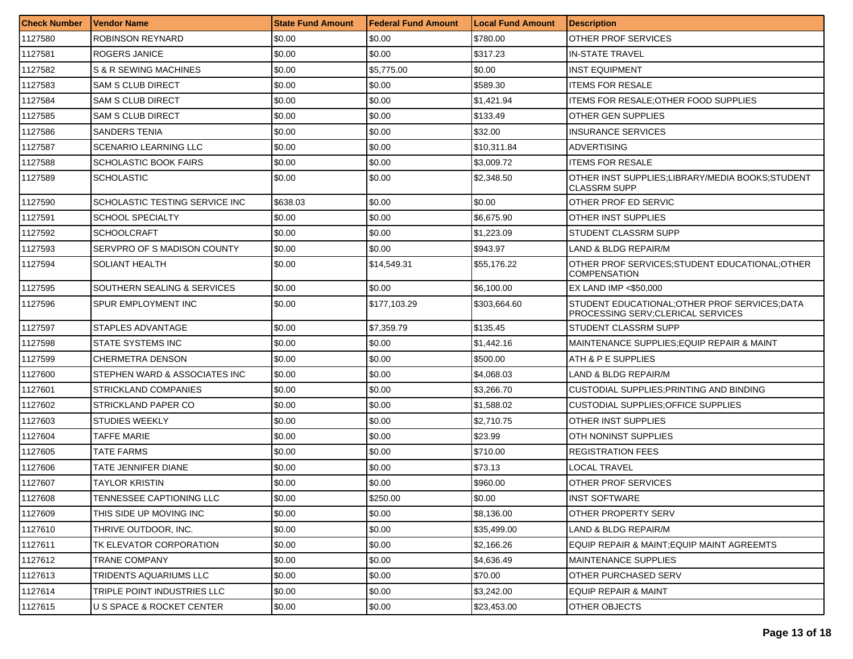| <b>Check Number</b> | <b>Vendor Name</b>             | <b>State Fund Amount</b> | <b>Federal Fund Amount</b> | <b>Local Fund Amount</b> | <b>Description</b>                                                                   |
|---------------------|--------------------------------|--------------------------|----------------------------|--------------------------|--------------------------------------------------------------------------------------|
| 1127580             | ROBINSON REYNARD               | \$0.00                   | \$0.00                     | \$780.00                 | OTHER PROF SERVICES                                                                  |
| 1127581             | ROGERS JANICE                  | \$0.00                   | \$0.00                     | \$317.23                 | IN-STATE TRAVEL                                                                      |
| 1127582             | S & R SEWING MACHINES          | \$0.00                   | \$5,775.00                 | \$0.00                   | <b>INST EQUIPMENT</b>                                                                |
| 1127583             | <b>SAM S CLUB DIRECT</b>       | \$0.00                   | \$0.00                     | \$589.30                 | <b>ITEMS FOR RESALE</b>                                                              |
| 1127584             | SAM S CLUB DIRECT              | \$0.00                   | \$0.00                     | \$1,421.94               | ITEMS FOR RESALE:OTHER FOOD SUPPLIES                                                 |
| 1127585             | <b>SAM S CLUB DIRECT</b>       | \$0.00                   | \$0.00                     | \$133.49                 | OTHER GEN SUPPLIES                                                                   |
| 1127586             | <b>SANDERS TENIA</b>           | \$0.00                   | \$0.00                     | \$32.00                  | <b>INSURANCE SERVICES</b>                                                            |
| 1127587             | <b>SCENARIO LEARNING LLC</b>   | \$0.00                   | \$0.00                     | \$10,311.84              | ADVERTISING                                                                          |
| 1127588             | <b>SCHOLASTIC BOOK FAIRS</b>   | \$0.00                   | \$0.00                     | \$3,009.72               | <b>ITEMS FOR RESALE</b>                                                              |
| 1127589             | SCHOLASTIC                     | \$0.00                   | \$0.00                     | \$2,348.50               | OTHER INST SUPPLIES;LIBRARY/MEDIA BOOKS;STUDENT<br><b>CLASSRM SUPP</b>               |
| 1127590             | SCHOLASTIC TESTING SERVICE INC | \$638.03                 | \$0.00                     | \$0.00                   | OTHER PROF ED SERVIC                                                                 |
| 1127591             | <b>SCHOOL SPECIALTY</b>        | \$0.00                   | \$0.00                     | \$6,675.90               | OTHER INST SUPPLIES                                                                  |
| 1127592             | <b>SCHOOLCRAFT</b>             | \$0.00                   | \$0.00                     | \$1,223.09               | STUDENT CLASSRM SUPP                                                                 |
| 1127593             | SERVPRO OF S MADISON COUNTY    | \$0.00                   | \$0.00                     | \$943.97                 | LAND & BLDG REPAIR/M                                                                 |
| 1127594             | <b>SOLIANT HEALTH</b>          | \$0.00                   | \$14,549.31                | \$55,176.22              | OTHER PROF SERVICES:STUDENT EDUCATIONAL:OTHER<br><b>COMPENSATION</b>                 |
| 1127595             | SOUTHERN SEALING & SERVICES    | \$0.00                   | \$0.00                     | \$6,100.00               | EX LAND IMP <\$50,000                                                                |
| 1127596             | SPUR EMPLOYMENT INC            | \$0.00                   | \$177,103.29               | \$303,664.60             | STUDENT EDUCATIONAL; OTHER PROF SERVICES; DATA<br>PROCESSING SERV; CLERICAL SERVICES |
| 1127597             | STAPLES ADVANTAGE              | \$0.00                   | \$7,359.79                 | \$135.45                 | STUDENT CLASSRM SUPP                                                                 |
| 1127598             | STATE SYSTEMS INC              | \$0.00                   | \$0.00                     | \$1,442.16               | MAINTENANCE SUPPLIES; EQUIP REPAIR & MAINT                                           |
| 1127599             | CHERMETRA DENSON               | \$0.00                   | \$0.00                     | \$500.00                 | ATH & P E SUPPLIES                                                                   |
| 1127600             | STEPHEN WARD & ASSOCIATES INC  | \$0.00                   | \$0.00                     | \$4,068.03               | LAND & BLDG REPAIR/M                                                                 |
| 1127601             | <b>STRICKLAND COMPANIES</b>    | \$0.00                   | \$0.00                     | \$3,266.70               | CUSTODIAL SUPPLIES:PRINTING AND BINDING                                              |
| 1127602             | STRICKLAND PAPER CO            | \$0.00                   | \$0.00                     | \$1,588.02               | CUSTODIAL SUPPLIES:OFFICE SUPPLIES                                                   |
| 1127603             | <b>STUDIES WEEKLY</b>          | \$0.00                   | \$0.00                     | \$2,710.75               | OTHER INST SUPPLIES                                                                  |
| 1127604             | TAFFE MARIE                    | \$0.00                   | \$0.00                     | \$23.99                  | OTH NONINST SUPPLIES                                                                 |
| 1127605             | TATE FARMS                     | \$0.00                   | \$0.00                     | \$710.00                 | <b>REGISTRATION FEES</b>                                                             |
| 1127606             | TATE JENNIFER DIANE            | \$0.00                   | \$0.00                     | \$73.13                  | LOCAL TRAVEL                                                                         |
| 1127607             | TAYLOR KRISTIN                 | \$0.00                   | \$0.00                     | \$960.00                 | OTHER PROF SERVICES                                                                  |
| 1127608             | TENNESSEE CAPTIONING LLC       | \$0.00                   | \$250.00                   | \$0.00                   | <b>INST SOFTWARE</b>                                                                 |
| 1127609             | THIS SIDE UP MOVING INC        | \$0.00                   | \$0.00                     | \$8,136.00               | OTHER PROPERTY SERV                                                                  |
| 1127610             | THRIVE OUTDOOR, INC.           | \$0.00                   | \$0.00                     | \$35,499.00              | LAND & BLDG REPAIR/M                                                                 |
| 1127611             | TK ELEVATOR CORPORATION        | \$0.00                   | \$0.00                     | \$2,166.26               | EQUIP REPAIR & MAINT:EQUIP MAINT AGREEMTS                                            |
| 1127612             | TRANE COMPANY                  | \$0.00                   | \$0.00                     | \$4,636.49               | MAINTENANCE SUPPLIES                                                                 |
| 1127613             | TRIDENTS AQUARIUMS LLC         | \$0.00                   | \$0.00                     | \$70.00                  | OTHER PURCHASED SERV                                                                 |
| 1127614             | TRIPLE POINT INDUSTRIES LLC    | \$0.00                   | \$0.00                     | \$3,242.00               | <b>EQUIP REPAIR &amp; MAINT</b>                                                      |
| 1127615             | U S SPACE & ROCKET CENTER      | \$0.00                   | \$0.00                     | \$23,453.00              | OTHER OBJECTS                                                                        |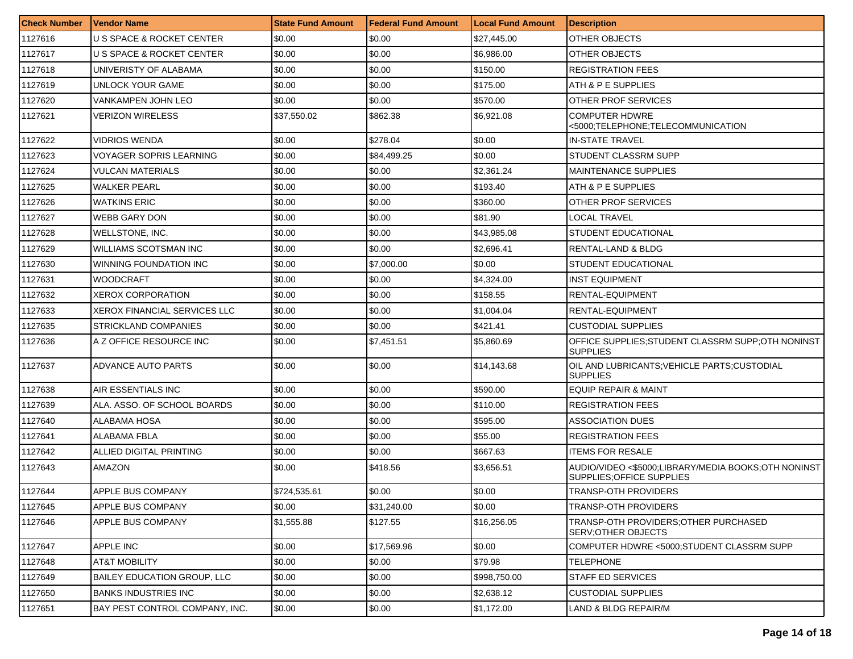| <b>Check Number</b> | <b>Vendor Name</b>                   | <b>State Fund Amount</b> | Federal Fund Amount | <b>Local Fund Amount</b> | <i><b>Description</b></i>                                                        |
|---------------------|--------------------------------------|--------------------------|---------------------|--------------------------|----------------------------------------------------------------------------------|
| 1127616             | U S SPACE & ROCKET CENTER            | \$0.00                   | \$0.00              | \$27,445.00              | <b>OTHER OBJECTS</b>                                                             |
| 1127617             | <b>U S SPACE &amp; ROCKET CENTER</b> | \$0.00                   | \$0.00              | \$6,986.00               | OTHER OBJECTS                                                                    |
| 1127618             | UNIVERISTY OF ALABAMA                | \$0.00                   | \$0.00              | \$150.00                 | <b>REGISTRATION FEES</b>                                                         |
| 1127619             | UNLOCK YOUR GAME                     | \$0.00                   | \$0.00              | \$175.00                 | ATH & P E SUPPLIES                                                               |
| 1127620             | VANKAMPEN JOHN LEO                   | \$0.00                   | \$0.00              | \$570.00                 | OTHER PROF SERVICES                                                              |
| 1127621             | VERIZON WIRELESS                     | \$37,550.02              | \$862.38            | \$6,921.08               | <b>COMPUTER HDWRE</b><br><5000;TELEPHONE;TELECOMMUNICATION                       |
| 1127622             | VIDRIOS WENDA                        | \$0.00                   | \$278.04            | \$0.00                   | <b>IN-STATE TRAVEL</b>                                                           |
| 1127623             | <b>VOYAGER SOPRIS LEARNING</b>       | \$0.00                   | \$84,499.25         | \$0.00                   | <b>STUDENT CLASSRM SUPP</b>                                                      |
| 1127624             | <b>VULCAN MATERIALS</b>              | \$0.00                   | \$0.00              | \$2,361.24               | <b>MAINTENANCE SUPPLIES</b>                                                      |
| 1127625             | <b>WALKER PEARL</b>                  | \$0.00                   | \$0.00              | \$193.40                 | ATH & P E SUPPLIES                                                               |
| 1127626             | <b>WATKINS ERIC</b>                  | \$0.00                   | \$0.00              | \$360.00                 | OTHER PROF SERVICES                                                              |
| 1127627             | <b>WEBB GARY DON</b>                 | \$0.00                   | \$0.00              | \$81.90                  | LOCAL TRAVEL                                                                     |
| 1127628             | <b>WELLSTONE, INC.</b>               | \$0.00                   | \$0.00              | \$43,985.08              | <b>STUDENT EDUCATIONAL</b>                                                       |
| 1127629             | WILLIAMS SCOTSMAN INC                | \$0.00                   | \$0.00              | \$2,696.41               | RENTAL-LAND & BLDG                                                               |
| 1127630             | WINNING FOUNDATION INC               | \$0.00                   | \$7,000.00          | \$0.00                   | <b>STUDENT EDUCATIONAL</b>                                                       |
| 1127631             | <b>WOODCRAFT</b>                     | \$0.00                   | \$0.00              | \$4.324.00               | <b>INST EQUIPMENT</b>                                                            |
| 1127632             | <b>XEROX CORPORATION</b>             | \$0.00                   | \$0.00              | \$158.55                 | RENTAL-EQUIPMENT                                                                 |
| 1127633             | <b>XEROX FINANCIAL SERVICES LLC</b>  | \$0.00                   | \$0.00              | \$1,004.04               | RENTAL-EQUIPMENT                                                                 |
| 1127635             | STRICKLAND COMPANIES                 | \$0.00                   | \$0.00              | \$421.41                 | <b>CUSTODIAL SUPPLIES</b>                                                        |
| 1127636             | A Z OFFICE RESOURCE INC              | \$0.00                   | \$7,451.51          | \$5,860.69               | OFFICE SUPPLIES:STUDENT CLASSRM SUPP:OTH NONINST<br><b>SUPPLIES</b>              |
| 1127637             | ADVANCE AUTO PARTS                   | \$0.00                   | \$0.00              | \$14,143.68              | OIL AND LUBRICANTS; VEHICLE PARTS; CUSTODIAL<br><b>SUPPLIES</b>                  |
| 1127638             | AIR ESSENTIALS INC                   | \$0.00                   | \$0.00              | \$590.00                 | <b>EQUIP REPAIR &amp; MAINT</b>                                                  |
| 1127639             | ALA. ASSO. OF SCHOOL BOARDS          | \$0.00                   | \$0.00              | \$110.00                 | <b>REGISTRATION FEES</b>                                                         |
| 1127640             | ALABAMA HOSA                         | \$0.00                   | \$0.00              | \$595.00                 | <b>ASSOCIATION DUES</b>                                                          |
| 1127641             | ALABAMA FBLA                         | \$0.00                   | \$0.00              | \$55.00                  | <b>REGISTRATION FEES</b>                                                         |
| 1127642             | ALLIED DIGITAL PRINTING              | \$0.00                   | \$0.00              | \$667.63                 | <b>ITEMS FOR RESALE</b>                                                          |
| 1127643             | AMAZON                               | \$0.00                   | \$418.56            | \$3,656.51               | AUDIO/VIDEO <\$5000;LIBRARY/MEDIA BOOKS;OTH NONINST<br>SUPPLIES; OFFICE SUPPLIES |
| 1127644             | APPLE BUS COMPANY                    | \$724,535.61             | \$0.00              | \$0.00                   | <b>TRANSP-OTH PROVIDERS</b>                                                      |
| 1127645             | APPLE BUS COMPANY                    | \$0.00                   | \$31,240.00         | \$0.00                   | TRANSP-OTH PROVIDERS                                                             |
| 1127646             | APPLE BUS COMPANY                    | \$1,555.88               | \$127.55            | \$16,256.05              | TRANSP-OTH PROVIDERS; OTHER PURCHASED<br><b>SERV: OTHER OBJECTS</b>              |
| 1127647             | APPLE INC                            | \$0.00                   | \$17,569.96         | \$0.00                   | COMPUTER HDWRE <5000:STUDENT CLASSRM SUPP                                        |
| 1127648             | AT&T MOBILITY                        | \$0.00                   | \$0.00              | \$79.98                  | TELEPHONE                                                                        |
| 1127649             | BAILEY EDUCATION GROUP, LLC          | \$0.00                   | \$0.00              | \$998,750.00             | STAFF ED SERVICES                                                                |
| 1127650             | <b>BANKS INDUSTRIES INC</b>          | \$0.00                   | \$0.00              | \$2,638.12               | <b>CUSTODIAL SUPPLIES</b>                                                        |
| 1127651             | BAY PEST CONTROL COMPANY, INC.       | \$0.00                   | \$0.00              | \$1,172.00               | LAND & BLDG REPAIR/M                                                             |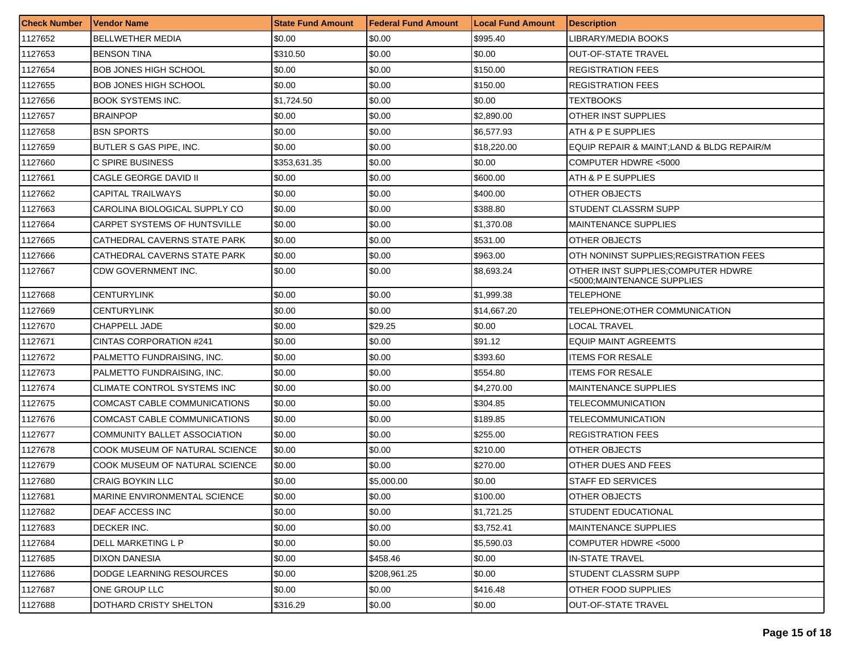| <b>Check Number</b> | <b>Vendor Name</b>                  | <b>State Fund Amount</b> | Federal Fund Amount | <b>Local Fund Amount</b> | <b>Description</b>                                                |
|---------------------|-------------------------------------|--------------------------|---------------------|--------------------------|-------------------------------------------------------------------|
| 1127652             | <b>BELLWETHER MEDIA</b>             | \$0.00                   | \$0.00              | \$995.40                 | LIBRARY/MEDIA BOOKS                                               |
| 1127653             | <b>BENSON TINA</b>                  | \$310.50                 | \$0.00              | \$0.00                   | <b>OUT-OF-STATE TRAVEL</b>                                        |
| 1127654             | <b>BOB JONES HIGH SCHOOL</b>        | \$0.00                   | \$0.00              | \$150.00                 | <b>REGISTRATION FEES</b>                                          |
| 1127655             | <b>BOB JONES HIGH SCHOOL</b>        | \$0.00                   | \$0.00              | \$150.00                 | <b>REGISTRATION FEES</b>                                          |
| 1127656             | <b>BOOK SYSTEMS INC.</b>            | \$1,724.50               | \$0.00              | \$0.00                   | TEXTBOOKS                                                         |
| 1127657             | <b>BRAINPOP</b>                     | \$0.00                   | \$0.00              | \$2,890.00               | <b>OTHER INST SUPPLIES</b>                                        |
| 1127658             | <b>BSN SPORTS</b>                   | \$0.00                   | \$0.00              | \$6,577.93               | ATH & P E SUPPLIES                                                |
| 1127659             | BUTLER S GAS PIPE, INC.             | \$0.00                   | \$0.00              | \$18,220.00              | EQUIP REPAIR & MAINT;LAND & BLDG REPAIR/M                         |
| 1127660             | C SPIRE BUSINESS                    | \$353,631.35             | \$0.00              | \$0.00                   | COMPUTER HDWRE <5000                                              |
| 1127661             | CAGLE GEORGE DAVID II               | \$0.00                   | \$0.00              | \$600.00                 | ATH & P E SUPPLIES                                                |
| 1127662             | <b>CAPITAL TRAILWAYS</b>            | \$0.00                   | \$0.00              | \$400.00                 | OTHER OBJECTS                                                     |
| 1127663             | CAROLINA BIOLOGICAL SUPPLY CO       | \$0.00                   | \$0.00              | \$388.80                 | STUDENT CLASSRM SUPP                                              |
| 1127664             | CARPET SYSTEMS OF HUNTSVILLE        | \$0.00                   | \$0.00              | \$1,370.08               | <b>MAINTENANCE SUPPLIES</b>                                       |
| 1127665             | CATHEDRAL CAVERNS STATE PARK        | \$0.00                   | \$0.00              | \$531.00                 | OTHER OBJECTS                                                     |
| 1127666             | CATHEDRAL CAVERNS STATE PARK        | \$0.00                   | \$0.00              | \$963.00                 | OTH NONINST SUPPLIES: REGISTRATION FEES                           |
| 1127667             | CDW GOVERNMENT INC.                 | \$0.00                   | \$0.00              | \$8,693.24               | OTHER INST SUPPLIES; COMPUTER HDWRE<br><5000;MAINTENANCE SUPPLIES |
| 1127668             | <b>CENTURYLINK</b>                  | \$0.00                   | \$0.00              | \$1,999.38               | TELEPHONE                                                         |
| 1127669             | <b>CENTURYLINK</b>                  | \$0.00                   | \$0.00              | \$14,667.20              | TELEPHONE; OTHER COMMUNICATION                                    |
| 1127670             | CHAPPELL JADE                       | \$0.00                   | \$29.25             | \$0.00                   | LOCAL TRAVEL                                                      |
| 1127671             | <b>CINTAS CORPORATION #241</b>      | \$0.00                   | \$0.00              | \$91.12                  | <b>EQUIP MAINT AGREEMTS</b>                                       |
| 1127672             | PALMETTO FUNDRAISING, INC.          | \$0.00                   | \$0.00              | \$393.60                 | <b>ITEMS FOR RESALE</b>                                           |
| 1127673             | PALMETTO FUNDRAISING, INC.          | \$0.00                   | \$0.00              | \$554.80                 | <b>ITEMS FOR RESALE</b>                                           |
| 1127674             | CLIMATE CONTROL SYSTEMS INC         | \$0.00                   | \$0.00              | \$4,270.00               | <b>MAINTENANCE SUPPLIES</b>                                       |
| 1127675             | COMCAST CABLE COMMUNICATIONS        | \$0.00                   | \$0.00              | \$304.85                 | TELECOMMUNICATION                                                 |
| 1127676             | COMCAST CABLE COMMUNICATIONS        | \$0.00                   | \$0.00              | \$189.85                 | <b>TELECOMMUNICATION</b>                                          |
| 1127677             | <b>COMMUNITY BALLET ASSOCIATION</b> | \$0.00                   | \$0.00              | \$255.00                 | <b>REGISTRATION FEES</b>                                          |
| 1127678             | COOK MUSEUM OF NATURAL SCIENCE      | \$0.00                   | \$0.00              | \$210.00                 | OTHER OBJECTS                                                     |
| 1127679             | COOK MUSEUM OF NATURAL SCIENCE      | \$0.00                   | \$0.00              | \$270.00                 | OTHER DUES AND FEES                                               |
| 1127680             | <b>CRAIG BOYKIN LLC</b>             | \$0.00                   | \$5,000.00          | \$0.00                   | <b>STAFF ED SERVICES</b>                                          |
| 1127681             | MARINE ENVIRONMENTAL SCIENCE        | \$0.00                   | \$0.00              | \$100.00                 | OTHER OBJECTS                                                     |
| 1127682             | DEAF ACCESS INC                     | \$0.00                   | \$0.00              | \$1,721.25               | STUDENT EDUCATIONAL                                               |
| 1127683             | <b>DECKER INC.</b>                  | \$0.00                   | \$0.00              | \$3,752.41               | <b>MAINTENANCE SUPPLIES</b>                                       |
| 1127684             | <b>DELL MARKETING L P</b>           | \$0.00                   | \$0.00              | \$5,590.03               | COMPUTER HDWRE <5000                                              |
| 1127685             | <b>DIXON DANESIA</b>                | \$0.00                   | \$458.46            | \$0.00                   | IN-STATE TRAVEL                                                   |
| 1127686             | DODGE LEARNING RESOURCES            | \$0.00                   | \$208,961.25        | \$0.00                   | <b>STUDENT CLASSRM SUPP</b>                                       |
| 1127687             | ONE GROUP LLC                       | \$0.00                   | \$0.00              | \$416.48                 | OTHER FOOD SUPPLIES                                               |
| 1127688             | DOTHARD CRISTY SHELTON              | \$316.29                 | \$0.00              | \$0.00                   | <b>OUT-OF-STATE TRAVEL</b>                                        |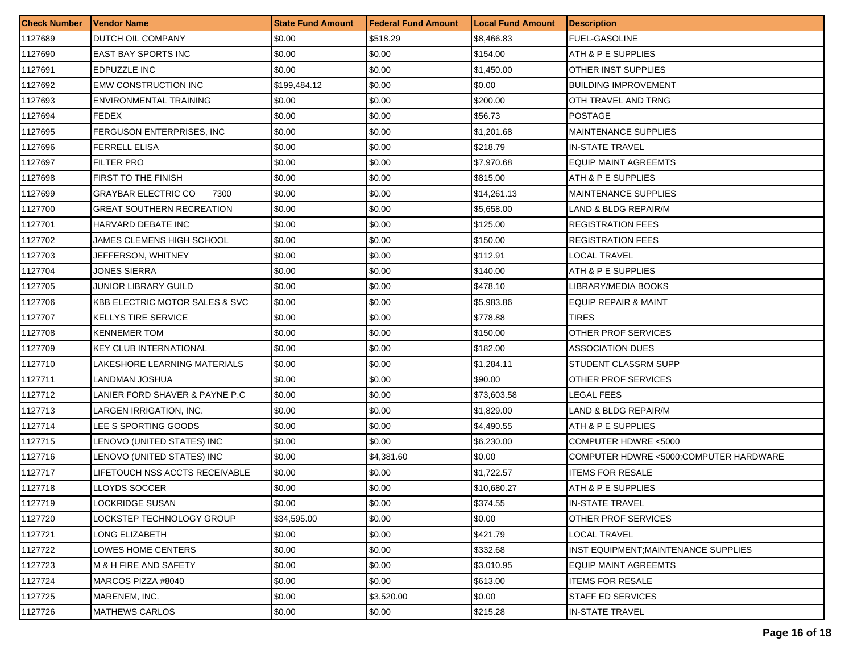| <b>Check Number</b> | <b>Vendor Name</b>                        | <b>State Fund Amount</b> | Federal Fund Amount | <b>Local Fund Amount</b> | <b>Description</b>                     |
|---------------------|-------------------------------------------|--------------------------|---------------------|--------------------------|----------------------------------------|
| 1127689             | DUTCH OIL COMPANY                         | \$0.00                   | \$518.29            | \$8,466.83               | <b>FUEL-GASOLINE</b>                   |
| 1127690             | <b>EAST BAY SPORTS INC</b>                | \$0.00                   | \$0.00              | \$154.00                 | ATH & P E SUPPLIES                     |
| 1127691             | EDPUZZLE INC                              | \$0.00                   | \$0.00              | \$1,450.00               | OTHER INST SUPPLIES                    |
| 1127692             | <b>EMW CONSTRUCTION INC</b>               | \$199,484.12             | \$0.00              | \$0.00                   | <b>BUILDING IMPROVEMENT</b>            |
| 1127693             | ENVIRONMENTAL TRAINING                    | \$0.00                   | \$0.00              | \$200.00                 | OTH TRAVEL AND TRNG                    |
| 1127694             | <b>FEDEX</b>                              | \$0.00                   | \$0.00              | \$56.73                  | POSTAGE                                |
| 1127695             | FERGUSON ENTERPRISES, INC.                | \$0.00                   | \$0.00              | \$1,201.68               | <b>MAINTENANCE SUPPLIES</b>            |
| 1127696             | <b>FERRELL ELISA</b>                      | \$0.00                   | \$0.00              | \$218.79                 | <b>IN-STATE TRAVEL</b>                 |
| 1127697             | <b>FILTER PRO</b>                         | \$0.00                   | \$0.00              | \$7,970.68               | <b>EQUIP MAINT AGREEMTS</b>            |
| 1127698             | <b>FIRST TO THE FINISH</b>                | \$0.00                   | \$0.00              | \$815.00                 | ATH & P E SUPPLIES                     |
| 1127699             | <b>GRAYBAR ELECTRIC CO</b><br>7300        | \$0.00                   | \$0.00              | \$14,261.13              | <b>MAINTENANCE SUPPLIES</b>            |
| 1127700             | <b>GREAT SOUTHERN RECREATION</b>          | \$0.00                   | \$0.00              | \$5,658.00               | LAND & BLDG REPAIR/M                   |
| 1127701             | HARVARD DEBATE INC                        | \$0.00                   | \$0.00              | \$125.00                 | <b>REGISTRATION FEES</b>               |
| 1127702             | JAMES CLEMENS HIGH SCHOOL                 | \$0.00                   | \$0.00              | \$150.00                 | <b>REGISTRATION FEES</b>               |
| 1127703             | JEFFERSON, WHITNEY                        | \$0.00                   | \$0.00              | \$112.91                 | <b>LOCAL TRAVEL</b>                    |
| 1127704             | JONES SIERRA                              | \$0.00                   | \$0.00              | \$140.00                 | ATH & P E SUPPLIES                     |
| 1127705             | JUNIOR LIBRARY GUILD                      | \$0.00                   | \$0.00              | \$478.10                 | LIBRARY/MEDIA BOOKS                    |
| 1127706             | <b>KBB ELECTRIC MOTOR SALES &amp; SVC</b> | \$0.00                   | \$0.00              | \$5,983.86               | <b>EQUIP REPAIR &amp; MAINT</b>        |
| 1127707             | <b>KELLYS TIRE SERVICE</b>                | \$0.00                   | \$0.00              | \$778.88                 | <b>TIRES</b>                           |
| 1127708             | <b>KENNEMER TOM</b>                       | \$0.00                   | \$0.00              | \$150.00                 | OTHER PROF SERVICES                    |
| 1127709             | <b>KEY CLUB INTERNATIONAL</b>             | \$0.00                   | \$0.00              | \$182.00                 | <b>ASSOCIATION DUES</b>                |
| 1127710             | LAKESHORE LEARNING MATERIALS              | \$0.00                   | \$0.00              | \$1,284.11               | STUDENT CLASSRM SUPP                   |
| 1127711             | LANDMAN JOSHUA                            | \$0.00                   | \$0.00              | \$90.00                  | OTHER PROF SERVICES                    |
| 1127712             | LANIER FORD SHAVER & PAYNE P.C            | \$0.00                   | \$0.00              | \$73,603.58              | LEGAL FEES                             |
| 1127713             | LARGEN IRRIGATION, INC.                   | \$0.00                   | \$0.00              | \$1,829.00               | LAND & BLDG REPAIR/M                   |
| 1127714             | LEE S SPORTING GOODS                      | \$0.00                   | \$0.00              | \$4,490.55               | ATH & P E SUPPLIES                     |
| 1127715             | LENOVO (UNITED STATES) INC                | \$0.00                   | \$0.00              | \$6,230.00               | COMPUTER HDWRE <5000                   |
| 1127716             | LENOVO (UNITED STATES) INC                | \$0.00                   | \$4,381.60          | \$0.00                   | COMPUTER HDWRE <5000;COMPUTER HARDWARE |
| 1127717             | LIFETOUCH NSS ACCTS RECEIVABLE            | \$0.00                   | \$0.00              | \$1,722.57               | <b>ITEMS FOR RESALE</b>                |
| 1127718             | <b>LLOYDS SOCCER</b>                      | \$0.00                   | \$0.00              | \$10,680.27              | ATH & P E SUPPLIES                     |
| 1127719             | LOCKRIDGE SUSAN                           | \$0.00                   | \$0.00              | \$374.55                 | <b>IN-STATE TRAVEL</b>                 |
| 1127720             | LOCKSTEP TECHNOLOGY GROUP                 | \$34,595.00              | \$0.00              | \$0.00                   | <b>OTHER PROF SERVICES</b>             |
| 1127721             | LONG ELIZABETH                            | \$0.00                   | \$0.00              | \$421.79                 | <b>LOCAL TRAVEL</b>                    |
| 1127722             | LOWES HOME CENTERS                        | \$0.00                   | \$0.00              | \$332.68                 | INST EQUIPMENT: MAINTENANCE SUPPLIES   |
| 1127723             | M & H FIRE AND SAFETY                     | \$0.00                   | \$0.00              | \$3,010.95               | <b>EQUIP MAINT AGREEMTS</b>            |
| 1127724             | MARCOS PIZZA #8040                        | \$0.00                   | \$0.00              | \$613.00                 | <b>ITEMS FOR RESALE</b>                |
| 1127725             | MARENEM, INC.                             | \$0.00                   | \$3,520.00          | \$0.00                   | <b>STAFF ED SERVICES</b>               |
| 1127726             | <b>MATHEWS CARLOS</b>                     | \$0.00                   | \$0.00              | \$215.28                 | <b>IN-STATE TRAVEL</b>                 |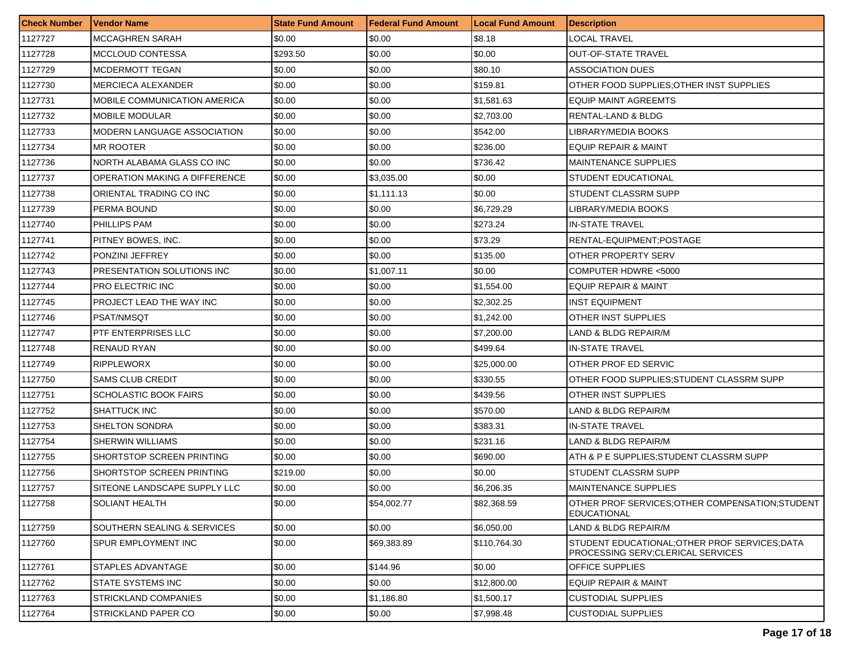| <b>Check Number</b> | <b>Vendor Name</b>                  | <b>State Fund Amount</b> | <b>Federal Fund Amount</b> | <b>Local Fund Amount</b> | <b>Description</b>                                                                   |
|---------------------|-------------------------------------|--------------------------|----------------------------|--------------------------|--------------------------------------------------------------------------------------|
| 1127727             | <b>MCCAGHREN SARAH</b>              | \$0.00                   | \$0.00                     | \$8.18                   | LOCAL TRAVEL                                                                         |
| 1127728             | MCCLOUD CONTESSA                    | \$293.50                 | \$0.00                     | \$0.00                   | OUT-OF-STATE TRAVEL                                                                  |
| 1127729             | MCDERMOTT TEGAN                     | \$0.00                   | \$0.00                     | \$80.10                  | ASSOCIATION DUES                                                                     |
| 1127730             | <b>MERCIECA ALEXANDER</b>           | \$0.00                   | \$0.00                     | \$159.81                 | OTHER FOOD SUPPLIES:OTHER INST SUPPLIES                                              |
| 1127731             | <b>MOBILE COMMUNICATION AMERICA</b> | \$0.00                   | \$0.00                     | \$1,581.63               | EQUIP MAINT AGREEMTS                                                                 |
| 1127732             | <b>MOBILE MODULAR</b>               | \$0.00                   | \$0.00                     | \$2,703.00               | RENTAL-LAND & BLDG                                                                   |
| 1127733             | <b>MODERN LANGUAGE ASSOCIATION</b>  | \$0.00                   | \$0.00                     | \$542.00                 | LIBRARY/MEDIA BOOKS                                                                  |
| 1127734             | <b>MR ROOTER</b>                    | \$0.00                   | \$0.00                     | \$236.00                 | EQUIP REPAIR & MAINT                                                                 |
| 1127736             | NORTH ALABAMA GLASS CO INC          | \$0.00                   | \$0.00                     | \$736.42                 | <b>MAINTENANCE SUPPLIES</b>                                                          |
| 1127737             | OPERATION MAKING A DIFFERENCE       | \$0.00                   | \$3,035.00                 | \$0.00                   | STUDENT EDUCATIONAL                                                                  |
| 1127738             | ORIENTAL TRADING CO INC             | \$0.00                   | \$1,111.13                 | \$0.00                   | STUDENT CLASSRM SUPP                                                                 |
| 1127739             | PERMA BOUND                         | \$0.00                   | \$0.00                     | \$6,729.29               | LIBRARY/MEDIA BOOKS                                                                  |
| 1127740             | <b>PHILLIPS PAM</b>                 | \$0.00                   | \$0.00                     | \$273.24                 | IN-STATE TRAVEL                                                                      |
| 1127741             | PITNEY BOWES, INC.                  | \$0.00                   | \$0.00                     | \$73.29                  | RENTAL-EQUIPMENT:POSTAGE                                                             |
| 1127742             | PONZINI JEFFREY                     | \$0.00                   | \$0.00                     | \$135.00                 | OTHER PROPERTY SERV                                                                  |
| 1127743             | PRESENTATION SOLUTIONS INC          | \$0.00                   | \$1,007.11                 | \$0.00                   | COMPUTER HDWRE <5000                                                                 |
| 1127744             | PRO ELECTRIC INC                    | \$0.00                   | \$0.00                     | \$1.554.00               | <b>EQUIP REPAIR &amp; MAINT</b>                                                      |
| 1127745             | PROJECT LEAD THE WAY INC            | \$0.00                   | \$0.00                     | \$2,302.25               | INST EQUIPMENT                                                                       |
| 1127746             | PSAT/NMSQT                          | \$0.00                   | \$0.00                     | \$1,242.00               | OTHER INST SUPPLIES                                                                  |
| 1127747             | PTF ENTERPRISES LLC                 | \$0.00                   | \$0.00                     | \$7,200.00               | LAND & BLDG REPAIR/M                                                                 |
| 1127748             | RENAUD RYAN                         | \$0.00                   | \$0.00                     | \$499.64                 | IN-STATE TRAVEL                                                                      |
| 1127749             | <b>RIPPLEWORX</b>                   | \$0.00                   | \$0.00                     | \$25,000.00              | OTHER PROF ED SERVIC                                                                 |
| 1127750             | <b>SAMS CLUB CREDIT</b>             | \$0.00                   | \$0.00                     | \$330.55                 | OTHER FOOD SUPPLIES:STUDENT CLASSRM SUPP                                             |
| 1127751             | <b>SCHOLASTIC BOOK FAIRS</b>        | \$0.00                   | \$0.00                     | \$439.56                 | OTHER INST SUPPLIES                                                                  |
| 1127752             | SHATTUCK INC                        | \$0.00                   | \$0.00                     | \$570.00                 | LAND & BLDG REPAIR/M                                                                 |
| 1127753             | SHELTON SONDRA                      | \$0.00                   | \$0.00                     | \$383.31                 | IN-STATE TRAVEL                                                                      |
| 1127754             | SHERWIN WILLIAMS                    | \$0.00                   | \$0.00                     | \$231.16                 | LAND & BLDG REPAIR/M                                                                 |
| 1127755             | SHORTSTOP SCREEN PRINTING           | \$0.00                   | \$0.00                     | \$690.00                 | ATH & P E SUPPLIES:STUDENT CLASSRM SUPP                                              |
| 1127756             | SHORTSTOP SCREEN PRINTING           | \$219.00                 | \$0.00                     | \$0.00                   | STUDENT CLASSRM SUPP                                                                 |
| 1127757             | SITEONE LANDSCAPE SUPPLY LLC        | \$0.00                   | \$0.00                     | \$6,206.35               | <b>MAINTENANCE SUPPLIES</b>                                                          |
| 1127758             | <b>SOLIANT HEALTH</b>               | \$0.00                   | \$54,002.77                | \$82,368.59              | OTHER PROF SERVICES: OTHER COMPENSATION: STUDENT<br><b>EDUCATIONAL</b>               |
| 1127759             | SOUTHERN SEALING & SERVICES         | \$0.00                   | \$0.00                     | \$6,050.00               | LAND & BLDG REPAIR/M                                                                 |
| 1127760             | SPUR EMPLOYMENT INC                 | \$0.00                   | \$69,383.89                | \$110,764.30             | STUDENT EDUCATIONAL; OTHER PROF SERVICES; DATA<br>PROCESSING SERV; CLERICAL SERVICES |
| 1127761             | <b>STAPLES ADVANTAGE</b>            | \$0.00                   | \$144.96                   | \$0.00                   | OFFICE SUPPLIES                                                                      |
| 1127762             | STATE SYSTEMS INC                   | \$0.00                   | \$0.00                     | \$12,800.00              | <b>EQUIP REPAIR &amp; MAINT</b>                                                      |
| 1127763             | <b>STRICKLAND COMPANIES</b>         | \$0.00                   | \$1,186.80                 | \$1,500.17               | <b>CUSTODIAL SUPPLIES</b>                                                            |
| 1127764             | STRICKLAND PAPER CO                 | \$0.00                   | \$0.00                     | \$7,998.48               | <b>CUSTODIAL SUPPLIES</b>                                                            |